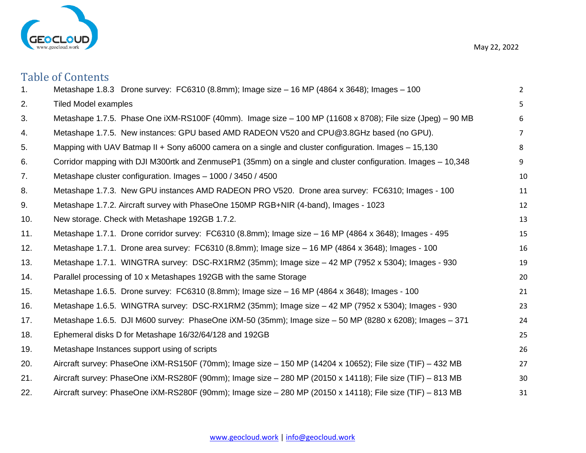

|     | <b>Table of Contents</b>                                                                                       |                |
|-----|----------------------------------------------------------------------------------------------------------------|----------------|
| 1.  | Metashape 1.8.3 Drone survey: FC6310 (8.8mm); Image size $-$ 16 MP (4864 x 3648); Images $-$ 100               | $\overline{2}$ |
| 2.  | <b>Tiled Model examples</b>                                                                                    | 5              |
| 3.  | Metashape 1.7.5. Phase One iXM-RS100F (40mm). Image size $-$ 100 MP (11608 x 8708); File size (Jpeg) $-$ 90 MB | 6              |
| 4.  | Metashape 1.7.5. New instances: GPU based AMD RADEON V520 and CPU@3.8GHz based (no GPU).                       | $\overline{7}$ |
| 5.  | Mapping with UAV Batmap II + Sony a6000 camera on a single and cluster configuration. Images – 15,130          | 8              |
| 6.  | Corridor mapping with DJI M300rtk and ZenmuseP1 (35mm) on a single and cluster configuration. Images – 10,348  | 9              |
| 7.  | Metashape cluster configuration. Images - 1000 / 3450 / 4500                                                   | 10             |
| 8.  | Metashape 1.7.3. New GPU instances AMD RADEON PRO V520. Drone area survey: FC6310; Images - 100                | 11             |
| 9.  | Metashape 1.7.2. Aircraft survey with PhaseOne 150MP RGB+NIR (4-band), Images - 1023                           | 12             |
| 10. | New storage. Check with Metashape 192GB 1.7.2.                                                                 | 13             |
| 11. | Metashape 1.7.1. Drone corridor survey: FC6310 (8.8mm); Image size – 16 MP (4864 x 3648); Images - 495         | 15             |
| 12. | Metashape 1.7.1. Drone area survey: FC6310 (8.8mm); Image size $-$ 16 MP (4864 x 3648); Images - 100           | 16             |
| 13. | Metashape 1.7.1. WINGTRA survey: DSC-RX1RM2 (35mm); Image size - 42 MP (7952 x 5304); Images - 930             | 19             |
| 14. | Parallel processing of 10 x Metashapes 192GB with the same Storage                                             | 20             |
| 15. | Metashape 1.6.5. Drone survey: FC6310 (8.8mm); Image size $-$ 16 MP (4864 x 3648); Images - 100                | 21             |
| 16. | Metashape 1.6.5. WINGTRA survey: DSC-RX1RM2 (35mm); Image size - 42 MP (7952 x 5304); Images - 930             | 23             |
| 17. | Metashape 1.6.5. DJI M600 survey: PhaseOne iXM-50 (35mm); Image size $-50$ MP (8280 x 6208); Images $-371$     | 24             |
| 18. | Ephemeral disks D for Metashape 16/32/64/128 and 192GB                                                         | 25             |
| 19. | Metashape Instances support using of scripts                                                                   | 26             |
| 20. | Aircraft survey: PhaseOne iXM-RS150F (70mm); Image size – 150 MP (14204 x 10652); File size (TIF) – 432 MB     | 27             |
| 21. | Aircraft survey: PhaseOne iXM-RS280F (90mm); Image size - 280 MP (20150 x 14118); File size (TIF) - 813 MB     | 30             |
| 22. | Aircraft survey: PhaseOne iXM-RS280F (90mm); Image size - 280 MP (20150 x 14118); File size (TIF) - 813 MB     | 31             |
|     |                                                                                                                |                |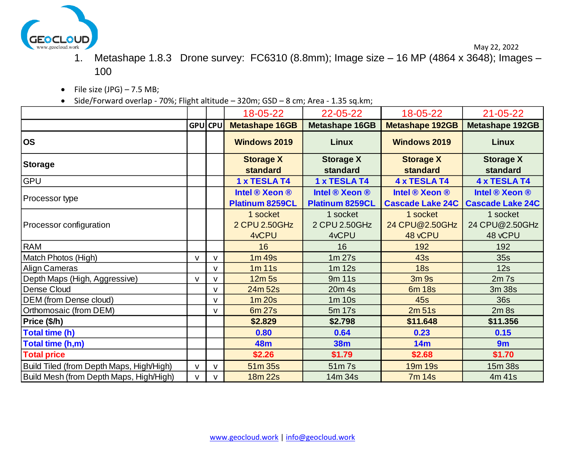<span id="page-1-0"></span>

- 1. Metashape 1.8.3 Drone survey: FC6310 (8.8mm); Image size 16 MP (4864 x 3648); Images 100
- File size  $(JPG) 7.5 MB;$
- Side/Forward overlap 70%; Flight altitude 320m; GSD 8 cm; Area 1.35 sq.km;

|                                          |              |                | 18-05-22                                 | 22-05-22                                 | 18-05-22                                  | $21 - 05 - 22$                            |
|------------------------------------------|--------------|----------------|------------------------------------------|------------------------------------------|-------------------------------------------|-------------------------------------------|
|                                          |              | <b>GPU</b> CPU | <b>Metashape 16GB</b>                    | <b>Metashape 16GB</b>                    | <b>Metashape 192GB</b>                    | <b>Metashape 192GB</b>                    |
| <b>OS</b>                                |              |                | <b>Windows 2019</b>                      | <b>Linux</b>                             | <b>Windows 2019</b>                       | <b>Linux</b>                              |
| <b>Storage</b>                           |              |                | <b>Storage X</b><br>standard             | <b>Storage X</b><br>standard             | <b>Storage X</b><br><b>standard</b>       | <b>Storage X</b><br>standard              |
| <b>GPU</b>                               |              |                | 1 x TESLA T4                             | 1 x TESLA T4                             | 4 x TESLA T4                              | 4 x TESLA T4                              |
| Processor type                           |              |                | Intel ® Xeon ®<br><b>Platinum 8259CL</b> | Intel ® Xeon ®<br><b>Platinum 8259CL</b> | Intel ® Xeon ®<br><b>Cascade Lake 24C</b> | Intel ® Xeon ®<br><b>Cascade Lake 24C</b> |
| Processor configuration                  |              |                | 1 socket<br>2 CPU 2.50GHz<br>4vCPU       | 1 socket<br>2 CPU 2.50GHz<br>4vCPU       | 1 socket<br>24 CPU@2.50GHz<br>48 vCPU     | 1 socket<br>24 CPU@2.50GHz<br>48 vCPU     |
| <b>RAM</b>                               |              |                | 16                                       | 16                                       | 192                                       | 192                                       |
| Match Photos (High)                      | $\mathsf{V}$ | v              | 1m 49s                                   | 1m <sub>27s</sub>                        | <b>43s</b>                                | 35s                                       |
| Align Cameras                            |              | v              | $1m$ 11s                                 | 1m 12s                                   | 18 <sub>s</sub>                           | 12s                                       |
| Depth Maps (High, Aggressive)            | $\mathsf{V}$ | v              | 12m <sub>5s</sub>                        | 9m 11s                                   | 3m <sub>9s</sub>                          | $2m$ $7s$                                 |
| Dense Cloud                              |              | v              | 24m 52s                                  | 20m 4s                                   | 6m 18s                                    | 3m 38s                                    |
| DEM (from Dense cloud)                   |              | v              | 1m 20s                                   | 1m 10s                                   | 45s                                       | <b>36s</b>                                |
| Orthomosaic (from DEM)                   |              | v              | 6m 27s                                   | 5m 17s                                   | 2m <sub>51s</sub>                         | $2m$ 8s                                   |
| Price (\$/h)                             |              |                | \$2.829                                  | \$2.798                                  | \$11.648                                  | \$11.356                                  |
| <b>Total time (h)</b>                    |              |                | 0.80                                     | 0.64                                     | 0.23                                      | 0.15                                      |
| Total time (h,m)                         |              |                | <b>48m</b>                               | <b>38m</b>                               | 14m                                       | 9m                                        |
| <b>Total price</b>                       |              |                | \$2.26                                   | \$1.79                                   | \$2.68                                    | \$1.70                                    |
| Build Tiled (from Depth Maps, High/High) | V            | v              | 51m 35s                                  | 51m7s                                    | 19m 19s                                   | 15m 38s                                   |
| Build Mesh (from Depth Maps, High/High)  | $\mathsf{V}$ | v              | 18m 22s                                  | 14m 34s                                  | 7m 14s                                    | 4m 41s                                    |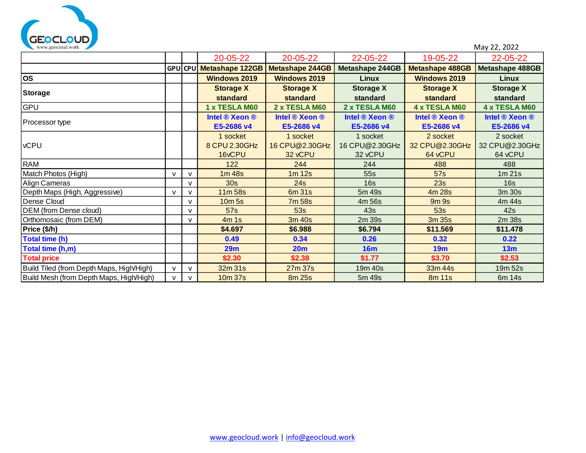

|                                          |              |   | 20-05-22                                | 20-05-22            | 22-05-22               | 19-05-22               | 22-05-22               |
|------------------------------------------|--------------|---|-----------------------------------------|---------------------|------------------------|------------------------|------------------------|
|                                          |              |   | GPU CPU Metashape 122GB Metashape 244GB |                     | <b>Metashape 244GB</b> | <b>Metashape 488GB</b> | <b>Metashape 488GB</b> |
| <b>OS</b>                                |              |   | <b>Windows 2019</b>                     | <b>Windows 2019</b> | Linux                  | <b>Windows 2019</b>    | Linux                  |
| Storage                                  |              |   | <b>Storage X</b>                        | <b>Storage X</b>    | <b>Storage X</b>       | <b>Storage X</b>       | <b>Storage X</b>       |
|                                          |              |   | standard                                | standard            | standard               | standard               | standard               |
| GPU                                      |              |   | 1 x TESLA M60                           | 2 x TESLA M60       | 2 x TESLA M60          | 4 x TESLA M60          | 4 x TESLA M60          |
|                                          |              |   | Intel ® Xeon ®                          | Intel ® Xeon ®      | Intel ® Xeon ®         | Intel ® Xeon ®         | Intel ® Xeon ®         |
| Processor type                           |              |   | E5-2686 v4                              | E5-2686 v4          | E5-2686 v4             | E5-2686 v4             | E5-2686 v4             |
|                                          |              |   | 1 socket                                | 1 socket            | 1 socket               | 2 socket               | 2 socket               |
| <b>vCPU</b>                              |              |   | 8 CPU 2.30GHz                           | 16 CPU@2.30GHz      | 16 CPU@2.30GHz         | 32 CPU@2.30GHz         | 32 CPU@2.30GHz         |
|                                          |              |   | 16vCPU                                  | 32 vCPU             | 32 vCPU                | 64 vCPU                | 64 vCPU                |
| <b>RAM</b>                               |              |   | 122                                     | 244                 | 244                    | 488                    | 488                    |
| Match Photos (High)                      | $\mathsf{V}$ | V | 1m <sub>48s</sub>                       | $1m$ 12s            | 55s                    | 57s                    | 1m21s                  |
| Align Cameras                            |              | v | 30 <sub>s</sub>                         | 24s                 | 16s                    | 23s                    | 16s                    |
| Depth Maps (High, Aggressive)            | $\mathsf{V}$ | V | 11m58s                                  | 6m 31s              | 5m 49s                 | 4m 28s                 | 3m 30s                 |
| Dense Cloud                              |              | ۷ | 10m 5s                                  | 7m 58s              | 4m 56s                 | 9m <sub>9s</sub>       | 4m 44s                 |
| DEM (from Dense cloud)                   |              | v | 57s                                     | 53s                 | 43s                    | 53s                    | 42s                    |
| Orthomosaic (from DEM)                   |              | v | 4m1s                                    | 3m 40s              | $2m$ 39s               | 3m 35s                 | 2m 38s                 |
| Price (\$/h)                             |              |   | \$4.697                                 | \$6.988             | \$6.794                | \$11.569               | \$11.478               |
| Total time (h)                           |              |   | 0.49                                    | 0.34                | 0.26                   | 0.32                   | 0.22                   |
| Total time (h,m)                         |              |   | 29m                                     | 20 <sub>m</sub>     | 16m                    | 19m                    | 13m                    |
| <b>Total price</b>                       |              |   | \$2.30                                  | \$2.38              | \$1.77                 | \$3.70                 | \$2.53                 |
| Build Tiled (from Depth Maps, High/High) | v            | V | 32m 31s                                 | 27m 37s             | 19m 40s                | 33m 44s                | 19m 52s                |
| Build Mesh (from Depth Maps, High/High)  |              | v | 10m 37s                                 | 8m 25s              | 5m 49s                 | 8m 11s                 | 6m 14s                 |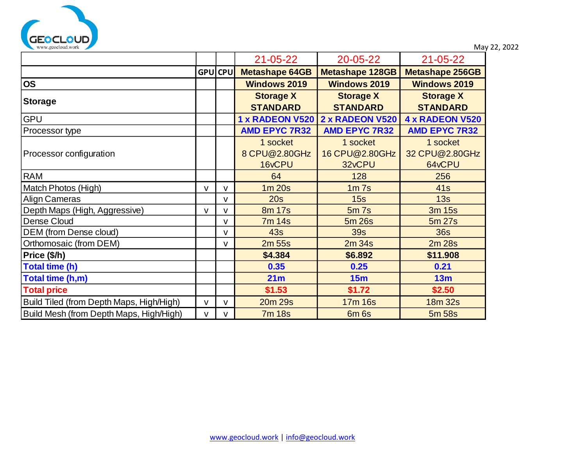

|                                          |              |              | $21 - 05 - 22$                      | 20-05-22                             | 21-05-22                             |
|------------------------------------------|--------------|--------------|-------------------------------------|--------------------------------------|--------------------------------------|
|                                          |              | GPUCPU       | <b>Metashape 64GB</b>               | <b>Metashape 128GB</b>               | <b>Metashape 256GB</b>               |
| <b>OS</b>                                |              |              | <b>Windows 2019</b>                 | <b>Windows 2019</b>                  | <b>Windows 2019</b>                  |
| <b>Storage</b>                           |              |              | <b>Storage X</b><br><b>STANDARD</b> | <b>Storage X</b><br><b>STANDARD</b>  | <b>Storage X</b><br><b>STANDARD</b>  |
| <b>GPU</b>                               |              |              | 1 x RADEON V520                     | 2 x RADEON V520                      | <b>4 x RADEON V520</b>               |
| Processor type                           |              |              | <b>AMD EPYC 7R32</b>                | <b>AMD EPYC 7R32</b>                 | <b>AMD EPYC 7R32</b>                 |
| Processor configuration                  |              |              | 1 socket<br>8 CPU@2.80GHz<br>16vCPU | 1 socket<br>16 CPU@2.80GHz<br>32vCPU | 1 socket<br>32 CPU@2.80GHz<br>64vCPU |
| <b>RAM</b>                               |              |              | 64                                  | 128                                  | 256                                  |
| Match Photos (High)                      | $\mathsf{V}$ | v            | 1m 20s                              | 1m <sub>7s</sub>                     | <b>41s</b>                           |
| Align Cameras                            |              | v            | 20s                                 | 15s                                  | 13s                                  |
| Depth Maps (High, Aggressive)            | $\mathsf{V}$ | v            | 8m 17s                              | $5m$ $7s$                            | 3m 15s                               |
| <b>Dense Cloud</b>                       |              | $\mathsf{v}$ | 7m 14s                              | 5m 26s                               | 5m 27s                               |
| DEM (from Dense cloud)                   |              | $\mathsf{V}$ | <b>43s</b>                          | <b>39s</b>                           | <b>36s</b>                           |
| Orthomosaic (from DEM)                   |              | v            | 2m 55s                              | 2m <sub>34s</sub>                    | 2m 28s                               |
| Price (\$/h)                             |              |              | \$4.384                             | \$6.892                              | \$11.908                             |
| Total time (h)                           |              |              | 0.35                                | 0.25                                 | 0.21                                 |
| Total time (h,m)                         |              |              | 21m                                 | 15m                                  | 13m                                  |
| <b>Total price</b>                       |              |              | \$1.53                              | \$1.72                               | \$2.50                               |
| Build Tiled (from Depth Maps, High/High) | $\mathsf{v}$ | $\mathsf{v}$ | 20m 29s                             | 17m 16s                              | 18m 32s                              |
| Build Mesh (from Depth Maps, High/High)  | v            | v            | <b>7m 18s</b>                       | 6 <sub>m</sub> 6s                    | 5m 58s                               |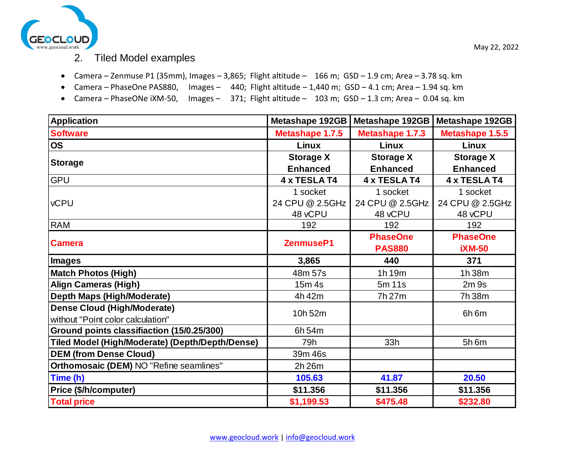

- 2. Tiled Model examples
- <span id="page-4-0"></span>• Camera – Zenmuse P1 (35mm), Images – 3,865; Flight altitude – 166 m; GSD – 1.9 cm; Area – 3.78 sq. km
- Camera PhaseOne PAS880, Images 440; Flight altitude 1,440 m; GSD 4.1 cm; Area 1.94 sq. km
- Camera PhaseONe iXM-50, Images 371; Flight altitude 103 m; GSD 1.3 cm; Area 0.04 sq. km

| <b>Application</b>                              | Metashape 192GB  | Metashape 192GB  | <b>Metashape 192GB</b> |
|-------------------------------------------------|------------------|------------------|------------------------|
| <b>Software</b>                                 | Metashape 1.7.5  | Metashape 1.7.3  | Metashape 1.5.5        |
| <b>OS</b>                                       | <b>Linux</b>     | <b>Linux</b>     | Linux                  |
| <b>Storage</b>                                  | <b>Storage X</b> | <b>Storage X</b> | <b>Storage X</b>       |
|                                                 | <b>Enhanced</b>  | <b>Enhanced</b>  | <b>Enhanced</b>        |
| <b>GPU</b>                                      | 4 x TESLA T4     | 4 x TESLA T4     | 4 x TESLA T4           |
|                                                 | 1 socket         | 1 socket         | 1 socket               |
| <b>vCPU</b>                                     | 24 CPU @ 2.5GHz  | 24 CPU @ 2.5GHz  | 24 CPU @ 2.5GHz        |
|                                                 | 48 vCPU          | 48 vCPU          | 48 vCPU                |
| <b>RAM</b>                                      | 192              | 192              | 192                    |
| <b>Camera</b>                                   | ZenmuseP1        | <b>PhaseOne</b>  | <b>PhaseOne</b>        |
|                                                 |                  | <b>PAS880</b>    | <b>iXM-50</b>          |
| <b>Images</b>                                   | 3,865            | 440              | 371                    |
| <b>Match Photos (High)</b>                      | 48m 57s          | 1h 19m           | 1h 38m                 |
| <b>Align Cameras (High)</b>                     | 15m 4s           | 5m 11s           | 2m <sub>9s</sub>       |
| <b>Depth Maps (High/Moderate)</b>               | 4h 42m           | 7h 27m           | 7h 38m                 |
| <b>Dense Cloud (High/Moderate)</b>              | 10h 52m          |                  | 6h <sub>6m</sub>       |
| without "Point color calculation"               |                  |                  |                        |
| Ground points classifiaction (15/0.25/300)      | 6h 54m           |                  |                        |
| Tiled Model (High/Moderate) (Depth/Depth/Dense) | 79h              | 33h              | 5h 6m                  |
| <b>DEM (from Dense Cloud)</b>                   | 39m 46s          |                  |                        |
| Orthomosaic (DEM) NO "Refine seamlines"         | 2h 26m           |                  |                        |
| Time (h)                                        | 105.63           | 41.87            | 20.50                  |
| Price (\$/h/computer)                           | \$11.356         | \$11.356         | \$11.356               |
| <b>Total price</b>                              | \$1,199.53       | \$475.48         | \$232.80               |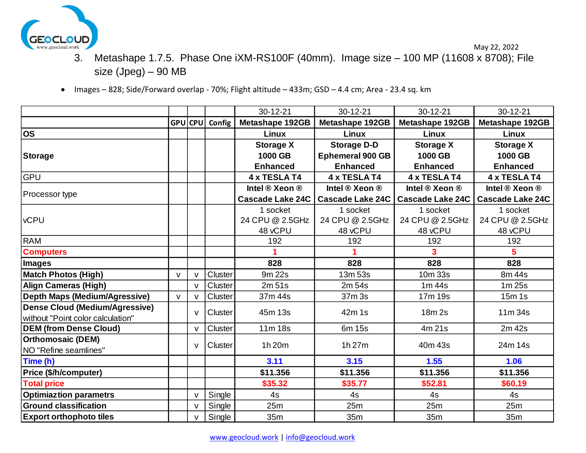<span id="page-5-0"></span>

- May 22, 2022
- 3. Metashape 1.7.5. Phase One iXM-RS100F (40mm). Image size 100 MP (11608 x 8708); File size (Jpeg) – 90 MB
- Images 828; Side/Forward overlap 70%; Flight altitude 433m; GSD 4.4 cm; Area 23.4 sq. km

|                                       |              |              |                | 30-12-21                | 30-12-21                | 30-12-21                | 30-12-21                |
|---------------------------------------|--------------|--------------|----------------|-------------------------|-------------------------|-------------------------|-------------------------|
|                                       |              | GPU CPU      | Config         | Metashape 192GB         | <b>Metashape 192GB</b>  | <b>Metashape 192GB</b>  | <b>Metashape 192GB</b>  |
| los                                   |              |              |                | Linux                   | <b>Linux</b>            | <b>Linux</b>            | Linux                   |
|                                       |              |              |                | <b>Storage X</b>        | <b>Storage D-D</b>      | <b>Storage X</b>        | <b>Storage X</b>        |
| Storage                               |              |              |                | 1000 GB                 | <b>Ephemeral 900 GB</b> | 1000 GB                 | 1000 GB                 |
|                                       |              |              |                | <b>Enhanced</b>         | <b>Enhanced</b>         | <b>Enhanced</b>         | <b>Enhanced</b>         |
| <b>GPU</b>                            |              |              |                | 4 x TESLA T4            | 4 x TESLA T4            | 4 x TESLA T4            | 4 x TESLA T4            |
|                                       |              |              |                | Intel ® Xeon ®          | Intel ® Xeon ®          | Intel ® Xeon ®          | Intel ® Xeon ®          |
| Processor type                        |              |              |                | <b>Cascade Lake 24C</b> | <b>Cascade Lake 24C</b> | <b>Cascade Lake 24C</b> | <b>Cascade Lake 24C</b> |
|                                       |              |              |                | 1 socket                | 1 socket                | 1 socket                | 1 socket                |
| <b>vCPU</b>                           |              |              |                | 24 CPU @ 2.5GHz         | 24 CPU @ 2.5GHz         | 24 CPU @ 2.5GHz         | 24 CPU @ 2.5GHz         |
|                                       |              |              |                | 48 vCPU                 | 48 vCPU                 | 48 vCPU                 | 48 vCPU                 |
| <b>RAM</b>                            |              |              |                | 192                     | 192                     | 192                     | 192                     |
| <b>Computers</b>                      |              |              |                |                         |                         | 3                       | 5                       |
| Images                                |              |              |                | 828                     | 828                     | 828                     | 828                     |
| <b>Match Photos (High)</b>            | $\mathsf{V}$ |              | Cluster        | 9m 22s                  | 13m 53s                 | 10m 33s                 | 8m 44s                  |
| <b>Align Cameras (High)</b>           |              | $\mathsf{V}$ | Cluster        | 2m 51s                  | 2m 54s                  | 1m 44s                  | 1m 25s                  |
| <b>Depth Maps (Medium/Agressive)</b>  | $\mathsf{V}$ | $\mathsf{v}$ | Cluster        | 37m 44s                 | 37m 3s                  | 17m 19s                 | 15m 1s                  |
| <b>Dense Cloud (Medium/Agressive)</b> |              | v            | <b>Cluster</b> | 45m 13s                 | 42m 1s                  | 18m 2s                  | 11m 34s                 |
| without "Point color calculation"     |              |              |                |                         |                         |                         |                         |
| <b>DEM (from Dense Cloud)</b>         |              | v            | Cluster        | 11m 18s                 | 6m 15s                  | 4m 21s                  | 2m 42s                  |
| <b>Orthomosaic (DEM)</b>              |              | $\mathsf{v}$ | Cluster        | 1h 20m                  | 1h 27m                  | 40m 43s                 | 24m 14s                 |
| NO "Refine seamlines"                 |              |              |                |                         |                         |                         |                         |
| Time (h)                              |              |              |                | 3.11                    | 3.15                    | 1.55                    | 1.06                    |
| Price (\$/h/computer)                 |              |              |                | \$11.356                | \$11.356                | \$11.356                | \$11.356                |
| <b>Total price</b>                    |              |              |                | \$35.32                 | \$35.77                 | \$52.81                 | \$60.19                 |
| <b>Optimiaztion parametrs</b>         |              | $\vee$       | Single         | 4s                      | 4s                      | 4s                      | 4s                      |
| <b>Ground classification</b>          |              | $\mathsf{v}$ | Single         | 25m                     | 25m                     | 25m                     | 25m                     |
| <b>Export orthophoto tiles</b>        |              | $\mathsf{v}$ | Single         | 35m                     | 35m                     | 35m                     | 35m                     |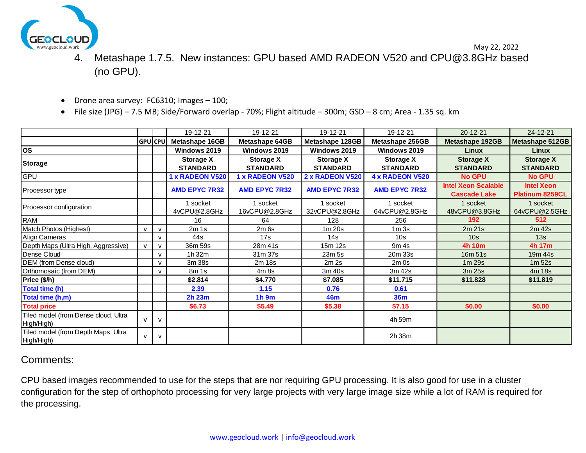<span id="page-6-0"></span>

 May 22, 2022 4. Metashape 1.7.5. New instances: GPU based AMD RADEON V520 and CPU@3.8GHz based (no GPU).

- Drone area survey: FC6310; Images 100;
- File size (JPG) 7.5 MB; Side/Forward overlap 70%; Flight altitude 300m; GSD 8 cm; Area 1.35 sq. km

|                                                                                                                                                                                                                                                                                                            |              |                | 19-12-21                 | 19-12-21                  | 19-12-21                  | 19-12-21                      | 20-12-21                                          | $24 - 12 - 21$                              |
|------------------------------------------------------------------------------------------------------------------------------------------------------------------------------------------------------------------------------------------------------------------------------------------------------------|--------------|----------------|--------------------------|---------------------------|---------------------------|-------------------------------|---------------------------------------------------|---------------------------------------------|
|                                                                                                                                                                                                                                                                                                            |              | <b>GPU</b> CPU | Metashape 16GB           | Metashape 64GB            | Metashape 128GB           | Metashape 256GB               | Metashape 192GB                                   | Metashape 512GB                             |
| <b>los</b>                                                                                                                                                                                                                                                                                                 |              |                | Windows 2019             | Windows 2019              | Windows 2019              | Windows 2019                  | <b>Linux</b>                                      | Linux                                       |
|                                                                                                                                                                                                                                                                                                            |              |                | <b>Storage X</b>         | <b>Storage X</b>          | <b>Storage X</b>          | <b>Storage X</b>              | <b>Storage X</b>                                  | <b>Storage X</b>                            |
| Storage                                                                                                                                                                                                                                                                                                    |              |                | <b>STANDARD</b>          | <b>STANDARD</b>           | <b>STANDARD</b>           | <b>STANDARD</b>               | <b>STANDARD</b>                                   | <b>STANDARD</b>                             |
| <b>GPU</b>                                                                                                                                                                                                                                                                                                 |              |                | 1 x RADEON V520          | 1 x RADEON V520           | 2 x RADEON V520           | <b>4 x RADEON V520</b>        | <b>No GPU</b>                                     | <b>No GPU</b>                               |
| Processor type                                                                                                                                                                                                                                                                                             |              |                | <b>AMD EPYC 7R32</b>     | <b>AMD EPYC 7R32</b>      | <b>AMD EPYC 7R32</b>      | <b>AMD EPYC 7R32</b>          | <b>Intel Xeon Scalable</b><br><b>Cascade Lake</b> | <b>Intel Xeon</b><br><b>Platinum 8259CL</b> |
| Processor configuration                                                                                                                                                                                                                                                                                    |              |                | 1 socket<br>4vCPU@2.8GHz | 1 socket<br>16vCPU@2.8GHz | 1 socket<br>32vCPU@2.8GHz | 1 socket<br>64vCPU@2.8GHz     | 1 socket<br>48vCPU@3.8GHz                         | 1 socket<br>64vCPU@2.5GHz                   |
| RAM                                                                                                                                                                                                                                                                                                        |              |                | 16                       | 64                        | 128                       | 256                           | 192                                               | 512                                         |
| Match Photos (Highest)                                                                                                                                                                                                                                                                                     | $\mathsf{v}$ | $\mathsf{V}$   | 2m1s                     | 2m <sub>6s</sub>          | $1m$ 20s                  | 1 <sub>m</sub> 3 <sub>s</sub> | 2m 21s                                            | 2m 42s                                      |
| Align Cameras                                                                                                                                                                                                                                                                                              |              | $\mathsf{v}$   | 44s                      | 17s                       | 14s                       | 10 <sub>s</sub>               | 10 <sub>s</sub>                                   | 13s                                         |
| Depth Maps (Ultra High, Aggressive)                                                                                                                                                                                                                                                                        | $\mathsf{V}$ | v              | 36m 59s                  | 28m 41s                   | 15m 12s                   | 9 <sub>m</sub> 4s             | 4h 10m                                            | 4h 17m                                      |
| Dense Cloud                                                                                                                                                                                                                                                                                                |              | $\mathsf{v}$   | 1h 32m                   | 31m 37s                   | 23m 5s                    | 20m 33s                       | 16m 51s                                           | 19m 44s                                     |
| DEM (from Dense cloud)                                                                                                                                                                                                                                                                                     |              | $\mathsf{v}$   | 3m 38s                   | 2m 18s                    | 2m <sub>2s</sub>          | $2m$ Os                       | $1m$ 29s                                          | 1m <sub>52s</sub>                           |
| Orthomosaic (from DEM)                                                                                                                                                                                                                                                                                     |              | $\mathsf{v}$   | 8m 1s                    | 4m 8s                     | 3m 40s                    | 3m 42s                        | 3m 25s                                            | 4m 18s                                      |
| Price (\$/h)                                                                                                                                                                                                                                                                                               |              |                | \$2.814                  | \$4.770                   | \$7,085                   | \$11.715                      | \$11.828                                          | \$11.819                                    |
| Total time (h)                                                                                                                                                                                                                                                                                             |              |                | 2.39                     | 1.15                      | 0.76                      | 0.61                          |                                                   |                                             |
| Total time (h,m)                                                                                                                                                                                                                                                                                           |              |                | 2h 23m                   | $1h$ 9m                   | 46m                       | <b>36m</b>                    |                                                   |                                             |
| <b>Total price</b>                                                                                                                                                                                                                                                                                         |              |                | \$6.73                   | \$5.49                    | \$5.38                    | \$7.15                        | \$0.00                                            | \$0.00                                      |
| Tiled model (from Dense cloud, Ultra<br>High/High)                                                                                                                                                                                                                                                         | $\mathbf{v}$ | $\mathsf{v}$   |                          |                           |                           | 4h 59m                        |                                                   |                                             |
| Tiled model (from Depth Maps, Ultra<br>High/High)                                                                                                                                                                                                                                                          | $\mathsf{v}$ | $\mathsf{V}$   |                          |                           |                           | 2h 38m                        |                                                   |                                             |
| Comments:<br>CPU based images recommended to use for the steps that are nor requiring GPU processing. It is also good for use in a cluster<br>configuration for the step of orthophoto processing for very large projects with very large image size while a lot of RAM is required for<br>the processing. |              |                |                          |                           |                           |                               |                                                   |                                             |

## Comments: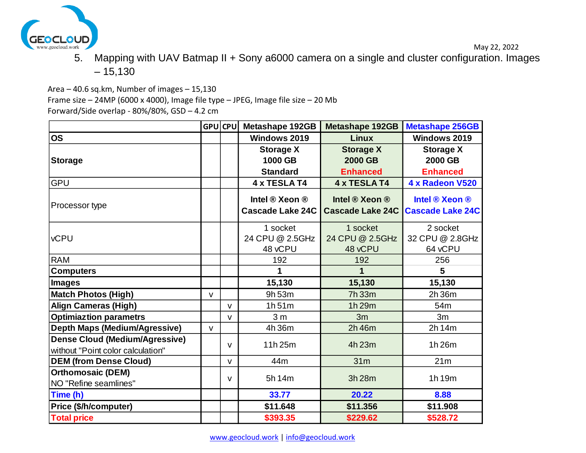

5. Mapping with UAV Batmap II + Sony a6000 camera on a single and cluster configuration. Images  $-15,130$ 

May 22, 2022

<span id="page-7-0"></span>Area – 40.6 sq.km, Number of images – 15,130 Frame size – 24MP (6000 x 4000), Image file type – JPEG, Image file size – 20 Mb Forward/Side overlap - 80%/80%, GSD – 4.2 cm

|                                       |              | GPU CPU      | Metashape 192GB         | <b>Metashape 192GB</b>  | <b>Metashape 256GB</b>  |
|---------------------------------------|--------------|--------------|-------------------------|-------------------------|-------------------------|
| <b>OS</b>                             |              |              | Windows 2019            | <b>Linux</b>            | Windows 2019            |
|                                       |              |              | <b>Storage X</b>        | <b>Storage X</b>        | <b>Storage X</b>        |
| <b>Storage</b>                        |              |              | 1000 GB                 | 2000 GB                 | 2000 GB                 |
|                                       |              |              | <b>Standard</b>         | <b>Enhanced</b>         | <b>Enhanced</b>         |
| <b>GPU</b>                            |              |              | 4 x TESLA T4            | 4 x TESLA T4            | 4 x Radeon V520         |
| Processor type                        |              |              | Intel ® Xeon ®          | Intel ® Xeon ®          | Intel ® Xeon ®          |
|                                       |              |              | <b>Cascade Lake 24C</b> | <b>Cascade Lake 24C</b> | <b>Cascade Lake 24C</b> |
|                                       |              |              | 1 socket                | 1 socket                | 2 socket                |
| <b>vCPU</b>                           |              |              | 24 CPU @ 2.5GHz         | 24 CPU @ 2.5GHz         | 32 CPU @ 2.8GHz         |
|                                       |              |              | 48 vCPU                 | 48 vCPU                 | 64 vCPU                 |
| <b>RAM</b>                            |              |              | 192                     | 192                     | 256                     |
| <b>Computers</b>                      |              |              | 1                       | 1                       | 5                       |
| <b>Images</b>                         |              |              | 15,130                  | 15,130                  | 15,130                  |
| <b>Match Photos (High)</b>            | $\mathsf{V}$ |              | 9h 53m                  | 7h 33m                  | 2h 36m                  |
| <b>Align Cameras (High)</b>           |              | $\mathsf{V}$ | 1h51m                   | 1h 29m                  | 54 <sub>m</sub>         |
| <b>Optimiaztion parametrs</b>         |              | $\mathsf{V}$ | 3 <sub>m</sub>          | 3m                      | 3m                      |
| <b>Depth Maps (Medium/Agressive)</b>  | $\mathsf{V}$ |              | 4h 36m                  | 2h 46m                  | 2h 14m                  |
| <b>Dense Cloud (Medium/Agressive)</b> |              | $\mathbf v$  | 11h 25m                 | 4h 23m                  | 1h 26m                  |
| without "Point color calculation"     |              |              |                         |                         |                         |
| <b>DEM (from Dense Cloud)</b>         |              | $\mathsf{V}$ | 44m                     | 31 <sub>m</sub>         | 21m                     |
| <b>Orthomosaic (DEM)</b>              |              |              | 5h 14m                  | 3h 28m                  | 1h 19m                  |
| NO "Refine seamlines"                 |              | $\mathsf{V}$ |                         |                         |                         |
| Time (h)                              |              |              | 33.77                   | 20.22                   | 8.88                    |
| Price (\$/h/computer)                 |              |              | \$11.648                | \$11.356                | \$11.908                |
| <b>Total price</b>                    |              |              | \$393.35                | \$229.62                | \$528.72                |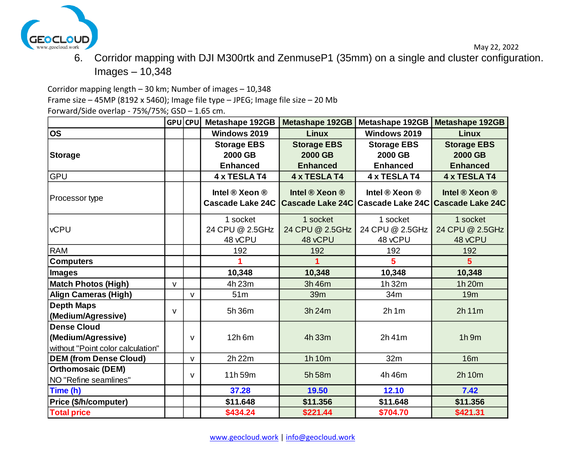

 May 22, 2022 6. Corridor mapping with DJI M300rtk and ZenmuseP1 (35mm) on a single and cluster configuration. Images – 10,348

<span id="page-8-0"></span>Corridor mapping length – 30 km; Number of images – 10,348 Frame size – 45MP (8192 x 5460); Image file type – JPEG; Image file size – 20 Mb Forward/Side overlap - 75%/75%; GSD – 1.65 cm.

|                                   | <b>GPU</b> CPU |              | Metashape 192GB         | <b>Metashape 192GB</b>                             | <b>Metashape 192GB</b> | <b>Metashape 192GB</b> |
|-----------------------------------|----------------|--------------|-------------------------|----------------------------------------------------|------------------------|------------------------|
| <b>OS</b>                         |                |              | <b>Windows 2019</b>     | <b>Linux</b>                                       | Windows 2019           | <b>Linux</b>           |
|                                   |                |              | <b>Storage EBS</b>      | <b>Storage EBS</b>                                 | <b>Storage EBS</b>     | <b>Storage EBS</b>     |
| <b>Storage</b>                    |                |              | 2000 GB                 | 2000 GB                                            | 2000 GB                | <b>2000 GB</b>         |
|                                   |                |              | <b>Enhanced</b>         | <b>Enhanced</b>                                    | <b>Enhanced</b>        | <b>Enhanced</b>        |
| <b>GPU</b>                        |                |              | 4 x TESLA T4            | 4 x TESLA T4                                       | 4 x TESLA T4           | 4 x TESLA T4           |
|                                   |                |              | Intel ® Xeon ®          | Intel ® Xeon ®                                     | Intel ® Xeon ®         | Intel ® Xeon ®         |
| Processor type                    |                |              | <b>Cascade Lake 24C</b> | Cascade Lake 24C Cascade Lake 24C Cascade Lake 24C |                        |                        |
|                                   |                |              | 1 socket                | 1 socket                                           | 1 socket               | 1 socket               |
| <b>vCPU</b>                       |                |              | 24 CPU @ 2.5GHz         | 24 CPU @ 2.5GHz                                    | 24 CPU @ 2.5GHz        | 24 CPU @ 2.5GHz        |
|                                   |                |              | 48 vCPU                 | 48 vCPU                                            | 48 vCPU                | 48 vCPU                |
| <b>RAM</b>                        |                |              | 192                     | 192                                                | 192                    | 192                    |
| <b>Computers</b>                  |                |              |                         |                                                    |                        | 5                      |
| <b>Images</b>                     |                |              | 10,348                  | 10,348                                             | 10,348                 | 10,348                 |
| <b>Match Photos (High)</b>        | v              |              | 4h 23m                  | 3h 46m                                             | 1h 32m                 | 1h 20m                 |
| <b>Align Cameras (High)</b>       |                | v            | 51 <sub>m</sub>         | 39m                                                | 34m                    | 19m                    |
| <b>Depth Maps</b>                 | $\vee$         |              | 5h 36m                  | 3h 24m                                             | 2h1m                   | 2h11m                  |
| (Medium/Agressive)                |                |              |                         |                                                    |                        |                        |
| <b>Dense Cloud</b>                |                |              |                         |                                                    |                        |                        |
| (Medium/Agressive)                |                | $\mathsf{V}$ | 12h 6m                  | 4h 33m                                             | 2h 41m                 | $1h$ 9m                |
| without "Point color calculation" |                |              |                         |                                                    |                        |                        |
| <b>DEM (from Dense Cloud)</b>     |                | $\mathsf{V}$ | 2h 22m                  | 1h 10m                                             | 32m                    | 16m                    |
| <b>Orthomosaic (DEM)</b>          |                | $\mathsf{V}$ | 11h 59m                 | 5h 58m                                             | 4h 46m                 | 2h 10m                 |
| NO "Refine seamlines"             |                |              |                         |                                                    |                        |                        |
| Time (h)                          |                |              | 37.28                   | 19.50                                              | 12.10                  | $7.42$                 |
| Price (\$/h/computer)             |                |              | \$11.648                | \$11.356                                           | \$11.648               | \$11.356               |
| <b>Total price</b>                |                |              | \$434.24                | \$221.44                                           | \$704.70               | \$421.31               |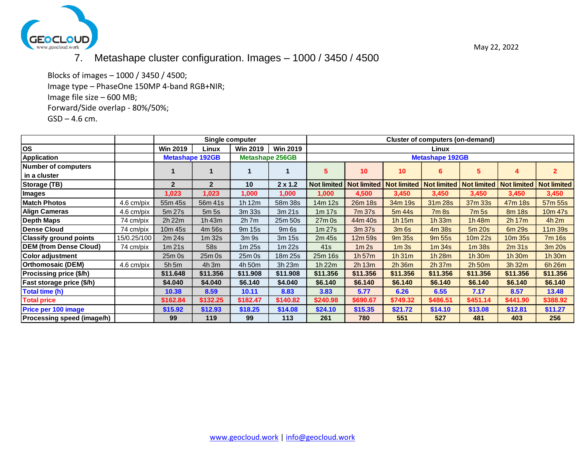

## 7. Metashape cluster configuration. Images – 1000 / 3450 / 4500

<span id="page-9-0"></span>Blocks of images – 1000 / 3450 / 4500; Image type – PhaseOne 150MP 4-band RGB+NIR; Image file size – 600 MB; Forward/Side overlap - 80%/50%;

GSD – 4.6 cm.

|                                |             |                   |                        | Single computer  |                                                  |                    |                    |                    | <b>Cluster of computers (on-demand)</b> |                    |                    |                    |
|--------------------------------|-------------|-------------------|------------------------|------------------|--------------------------------------------------|--------------------|--------------------|--------------------|-----------------------------------------|--------------------|--------------------|--------------------|
| <b>los</b>                     |             | <b>Win 2019</b>   | Linux                  | <b>Win 2019</b>  | <b>Win 2019</b>                                  |                    |                    |                    | Linux                                   |                    |                    |                    |
| <b>Application</b>             |             |                   | <b>Metashape 192GB</b> |                  | <b>Metashape 256GB</b><br><b>Metashape 192GB</b> |                    |                    |                    |                                         |                    |                    |                    |
| <b>Number of computers</b>     |             |                   |                        |                  |                                                  | 5                  | 10                 | 10                 | 6                                       | 5                  | 4                  | $\mathbf{2}$       |
| in a cluster                   |             |                   |                        |                  |                                                  |                    |                    |                    |                                         |                    |                    |                    |
| Storage (TB)                   |             | $\mathbf{2}$      | $\overline{2}$         | 10               | 2 x 1.2                                          | <b>Not limited</b> | <b>Not limited</b> | <b>Not limited</b> | <b>Not limited</b>                      | <b>Not limited</b> | <b>Not limited</b> | <b>Not limited</b> |
| ∣Images                        |             | 1,023             | 1,023                  | 1,000            | 1,000                                            | 1,000              | 4,500              | 3,450              | 3,450                                   | 3,450              | 3,450              | 3,450              |
| <b>Match Photos</b>            | 4.6 cm/pix  | 55m 45s           | 56m 41s                | 1h12m            | 58m 38s                                          | 14m 12s            | 26m 18s            | 34m 19s            | 31m 28s                                 | 37m 33s            | 47m 18s            | 57m 55s            |
| <b>Align Cameras</b>           | 4.6 cm/pix  | 5m 27s            | 5m 5s                  | 3m 33s           | 3m 21s                                           | 1m 17s             | 7m 37s             | 5m 44s             | 7m8s                                    | 7m <sub>5s</sub>   | 8m 18s             | 10m 47s            |
| <b>Depth Maps</b>              | 74 cm/pix   | 2h 22m            | 1h43m                  | $2h$ 7m          | 25m 50s                                          | $27m$ Os           | 44m 40s            | 1h15m              | $1h$ 33 $m$                             | 1h48m              | 2h17m              | 4h2m               |
| <b>Dense Cloud</b>             | 74 cm/pix   | 10m 45s           | 4m 56s                 | 9m 15s           | 9m <sub>6s</sub>                                 | 1m <sub>27s</sub>  | 3m 37s             | 3m <sub>6s</sub>   | 4m 38s                                  | 5m 20s             | 6m 29s             | 11m 39s            |
| <b>Classify ground points</b>  | 15/0.25/100 | 2m 24s            | 1m <sub>32s</sub>      | 3m <sub>9s</sub> | 3m 15s                                           | 2m 45s             | 12m 59s            | 9m 35s             | 9m 55s                                  | $10m$ 22s          | 10m 35s            | 7m 16s             |
| <b>DEM (from Dense Cloud)</b>  | 74 cm/pix   | 1m <sub>21s</sub> | 58s                    | 1m25s            | $1m$ 22s                                         | 41s                | 1m <sub>2s</sub>   | 1m <sub>3s</sub>   | 1m <sub>34s</sub>                       | 1m <sub>38s</sub>  | 2m31s              | 3m 20s             |
| <b>Color adjustment</b>        |             | $25m$ Os          | 25m 0s                 | $25m$ Os         | 18m 25s                                          | 25m 16s            | 1h57m              | 1h31m              | 1h28m                                   | 1h30m              | 1h30m              | 1h 30m             |
| <b>Orthomosaic (DEM)</b>       | 4.6 cm/pix  | 5h5m              | 4h3m                   | 4h 50m           | 3h 23m                                           | 1h 22m             | 2h 13m             | $2h$ 36 $m$        | 2h37m                                   | $2h$ 50 $m$        | 3h 32m             | 6h 26m             |
| <b>Procissing price (\$/h)</b> |             | \$11.648          | \$11.356               | \$11.908         | \$11.908                                         | \$11.356           | \$11.356           | \$11.356           | \$11.356                                | \$11.356           | \$11.356           | \$11.356           |
| Fast storage price (\$/h)      |             | \$4.040           | \$4.040                | \$6.140          | \$4.040                                          | \$6.140            | \$6.140            | \$6.140            | \$6.140                                 | \$6.140            | \$6.140            | \$6.140            |
| Total time (h)                 |             | 10.38             | 8.59                   | 10.11            | 8.83                                             | 3.83               | 5.77               | 6.26               | 6.55                                    | 7.17               | 8.57               | 13.48              |
| <b>Total price</b>             |             | \$162.84          | \$132.25               | \$182.47         | \$140.82                                         | \$240.98           | \$690.67           | \$749.32           | \$486.51                                | \$451.14           | \$441.90           | \$388.92           |
| <b>Price per 100 image</b>     |             | \$15.92           | \$12.93                | \$18.25          | \$14.08                                          | \$24.10            | \$15.35            | \$21.72            | \$14.10                                 | \$13.08            | \$12.81            | \$11.27            |
| Processing speed (image/h)     |             | 99                | 119                    | 99               | 113                                              | 261                | 780                | 551                | 527                                     | 481                | 403                | 256                |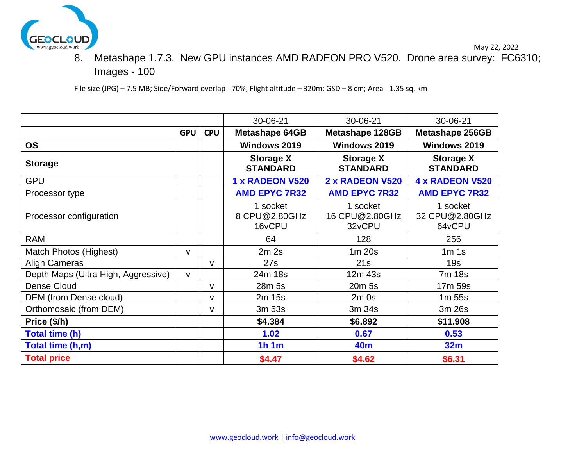<span id="page-10-0"></span>

8. Metashape 1.7.3. New GPU instances AMD RADEON PRO V520. Drone area survey: FC6310; Images - 100

File size (JPG) – 7.5 MB; Side/Forward overlap - 70%; Flight altitude – 320m; GSD – 8 cm; Area - 1.35 sq. km

|                                     |              | 30-06-21   | 30-06-21                            | 30-06-21                             |                                      |
|-------------------------------------|--------------|------------|-------------------------------------|--------------------------------------|--------------------------------------|
|                                     | <b>GPU</b>   | <b>CPU</b> | <b>Metashape 64GB</b>               | <b>Metashape 128GB</b>               | <b>Metashape 256GB</b>               |
| <b>OS</b>                           |              |            | <b>Windows 2019</b>                 | <b>Windows 2019</b>                  | <b>Windows 2019</b>                  |
| <b>Storage</b>                      |              |            | <b>Storage X</b><br><b>STANDARD</b> | <b>Storage X</b><br><b>STANDARD</b>  | <b>Storage X</b><br><b>STANDARD</b>  |
| <b>GPU</b>                          |              |            | <b>1 x RADEON V520</b>              | 2 x RADEON V520                      | <b>4 x RADEON V520</b>               |
| Processor type                      |              |            | <b>AMD EPYC 7R32</b>                | <b>AMD EPYC 7R32</b>                 | <b>AMD EPYC 7R32</b>                 |
| Processor configuration             |              |            | 1 socket<br>8 CPU@2.80GHz<br>16vCPU | 1 socket<br>16 CPU@2.80GHz<br>32vCPU | 1 socket<br>32 CPU@2.80GHz<br>64vCPU |
| <b>RAM</b>                          |              |            | 64                                  | 128                                  | 256                                  |
| Match Photos (Highest)              | v            |            | 2m <sub>2s</sub>                    | $1m$ 20s                             | 1m <sub>1s</sub>                     |
| Align Cameras                       |              | v          | 27s                                 | 21s                                  | 19s                                  |
| Depth Maps (Ultra High, Aggressive) | $\mathsf{V}$ |            | 24m 18s                             | 12m 43s                              | 7m 18s                               |
| Dense Cloud                         |              | v          | 28m 5s                              | 20m 5s                               | 17m 59s                              |
| DEM (from Dense cloud)              |              | v          | 2m 15s                              | $2m$ Os                              | 1m 55s                               |
| Orthomosaic (from DEM)              |              | v          | 3m 53s                              | 3m 34s                               | 3m 26s                               |
| Price (\$/h)                        |              |            | \$4.384                             | \$6.892                              | \$11.908                             |
| Total time (h)                      |              |            | 1.02                                | 0.67                                 | 0.53                                 |
| Total time (h,m)                    |              |            | 1h1m                                | <b>40m</b>                           | 32m                                  |
| <b>Total price</b>                  |              |            | \$4.47                              | \$4.62                               | \$6.31                               |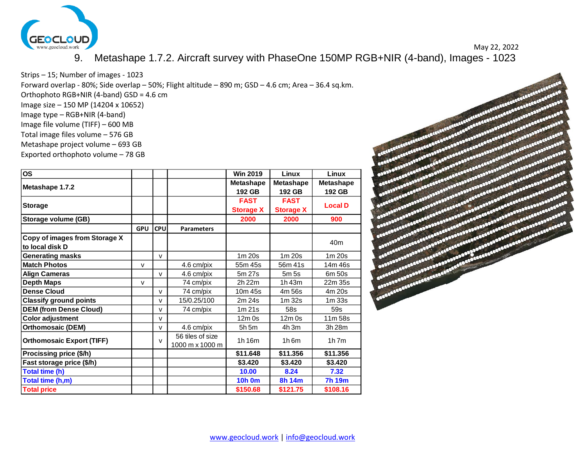

9. Metashape 1.7.2. Aircraft survey with PhaseOne 150MP RGB+NIR (4-band), Images - 1023

<span id="page-11-0"></span>Strips – 15; Number of images - 1023 Forward overlap - 80%; Side overlap – 50%; Flight altitude – 890 m; GSD – 4.6 cm; Area – 36.4 sq.km. Orthophoto RGB+NIR (4-band) GSD = 4.6 cm Image size – 150 MP (14204 x 10652) Image type – RGB+NIR (4-band) Image file volume (TIFF) – 600 MB Total image files volume – 576 GB Metashape project volume – 693 GB Exported orthophoto volume – 78 GB

| <b>OS</b>                        |              |              |                   | <b>Win 2019</b>  | Linux            | Linux            |  |
|----------------------------------|--------------|--------------|-------------------|------------------|------------------|------------------|--|
| Metashape 1.7.2                  |              |              |                   | <b>Metashape</b> | <b>Metashape</b> | <b>Metashape</b> |  |
|                                  |              |              |                   | 192 GB           | 192 GB           | 192 GB           |  |
|                                  |              |              |                   | <b>FAST</b>      | <b>FAST</b>      |                  |  |
| <b>Storage</b>                   |              |              |                   | <b>Storage X</b> | <b>Storage X</b> | <b>Local D</b>   |  |
| Storage volume (GB)              |              |              |                   | 2000             | 2000             | 900              |  |
|                                  | <b>GPU</b>   | <b>CPU</b>   | <b>Parameters</b> |                  |                  |                  |  |
| Copy of images from Storage X    |              |              |                   |                  |                  | 40 <sub>m</sub>  |  |
| to local disk D                  |              |              |                   |                  |                  |                  |  |
| <b>Generating masks</b>          |              | $\mathsf{V}$ |                   | $1m$ 20s         | $1m$ 20s         | 1m 20s           |  |
| <b>Match Photos</b>              | $\mathsf{V}$ |              | 4.6 cm/pix        | 55m 45s          | 56m 41s          | 14m 46s          |  |
| <b>Align Cameras</b>             |              | $\mathsf{V}$ | 4.6 cm/pix        | 5m 27s           | 5m 5s            | 6m 50s           |  |
| <b>Depth Maps</b>                | $\mathsf{v}$ |              | 74 cm/pix         | 2h 22m           | 1h 43m           | 22m 35s          |  |
| <b>Dense Cloud</b>               |              | $\mathsf{V}$ | 74 cm/pix         | 10m 45s          | 4m 56s           | 4m 20s           |  |
| <b>Classify ground points</b>    |              | $\mathsf{V}$ | 15/0.25/100       | 2m 24s           | 1m 32s           | 1m 33s           |  |
| <b>DEM (from Dense Cloud)</b>    |              | v            | 74 cm/pix         | 1m21s            | 58s              | 59s              |  |
| Color adjustment                 |              | $\mathsf{V}$ |                   | $12m$ Os         | $12m$ 0s         | 11m 58s          |  |
| <b>Orthomosaic (DEM)</b>         |              | $\mathsf{V}$ | 4.6 cm/pix        | $5h$ 5m          | $4h$ 3m          | 3h 28m           |  |
| <b>Orthomosaic Export (TIFF)</b> |              | v            | 56 tiles of size  | 1h 16m           | $1h$ 6m          | $1h$ 7 $m$       |  |
|                                  |              |              | 1000 m x 1000 m   |                  |                  |                  |  |
| Procissing price (\$/h)          |              |              |                   | \$11.648         | \$11.356         | \$11.356         |  |
| Fast storage price (\$/h)        |              |              |                   | \$3.420          | \$3.420          | \$3.420          |  |
| Total time (h)                   |              |              |                   | 10.00            | 8.24             | 7.32             |  |
| Total time (h,m)                 |              |              |                   | <b>10h 0m</b>    | 8h 14m           | <b>7h 19m</b>    |  |
| <b>Total price</b>               |              |              |                   | \$150.68         | \$121.75         | \$108.16         |  |

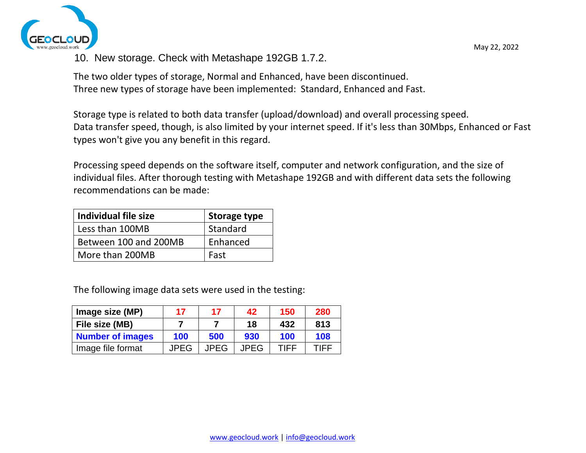<span id="page-12-0"></span>

10. New storage. Check with Metashape 192GB 1.7.2.

The two older types of storage, Normal and Enhanced, have been discontinued. Three new types of storage have been implemented: Standard, Enhanced and Fast.

Storage type is related to both data transfer (upload/download) and overall processing speed. Data transfer speed, though, is also limited by your internet speed. If it's less than 30Mbps, Enhanced or Fast types won't give you any benefit in this regard.

Processing speed depends on the software itself, computer and network configuration, and the size of individual files. After thorough testing with Metashape 192GB and with different data sets the following recommendations can be made:

| Individual file size  | <b>Storage type</b> |  |  |
|-----------------------|---------------------|--|--|
| Less than 100MB       | Standard            |  |  |
| Between 100 and 200MB | Enhanced            |  |  |
| More than 200MB       | Fast                |  |  |

The following image data sets were used in the testing:

| Image size (MP)         | 17          | 17          | 42          | 150  | 280  |
|-------------------------|-------------|-------------|-------------|------|------|
| File size (MB)          |             |             | 18          | 432  | 813  |
| <b>Number of images</b> | 100         | 500         | 930         | 100  | 108  |
| Image file format       | <b>JPEG</b> | <b>JPEG</b> | <b>JPEG</b> | TIFF | TIFF |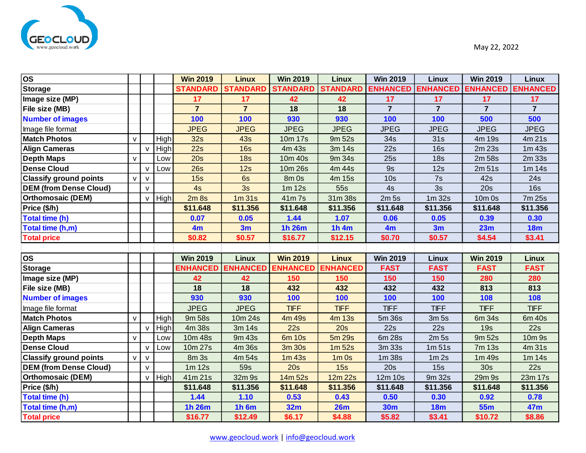

| <b>ENHANCED ENHANCED</b><br><b>STANDARD</b><br><b>STANDARD</b><br><b>ENHANCED</b><br><b>ENHANCED</b><br><b>STANDARD</b><br>17<br>17<br>42<br>42<br>17<br>17<br>17<br>Image size (MP)<br>17<br>$\overline{7}$<br>$\overline{7}$<br>$\overline{7}$<br>$\overline{7}$<br>$\overline{7}$<br>18<br>18<br>$\overline{7}$<br>File size (MB)<br>500<br>100<br>100<br>930<br>100<br>100<br>500<br>930<br><b>Number of images</b><br><b>JPEG</b><br><b>JPEG</b><br><b>JPEG</b><br><b>JPEG</b><br><b>JPEG</b><br><b>JPEG</b><br>Image file format<br><b>JPEG</b><br><b>JPEG</b><br><b>Match Photos</b><br>High<br>32s<br><b>43s</b><br>10m 17s<br>9m 52s<br>4m 21s<br>$\mathsf{V}$<br>34s<br>31s<br>4m 19s<br>High<br>22s<br>16s<br><b>Align Cameras</b><br>4m 43s<br>3m 14s<br>22s<br>16s<br>2m 23s<br>1m 43s<br>$\mathsf{v}$<br>18 <sub>s</sub><br>25s<br>2m 33s<br><b>Depth Maps</b><br>20s<br>10m 40s<br>9m 34s<br>18 <sub>s</sub><br>2m 58s<br>v<br>Low<br><b>Dense Cloud</b><br><b>26s</b><br>12s<br>10m 26s<br>9s<br>12s<br>2m <sub>51s</sub><br>1m 14s<br>Low<br>4m 44s<br>$\mathsf{V}$<br>15s<br>6s<br>10 <sub>s</sub><br>7s<br><b>Classify ground points</b><br>8m 0s<br>42s<br>24s<br>4m 15s<br>$\mathsf{v}$<br>$\mathsf{V}$<br>16s<br>4s<br>3s<br>1m 12s<br>55s<br>4s<br>3s<br>20s<br><b>DEM (from Dense Cloud)</b><br>$\mathsf{v}$<br><b>Orthomosaic (DEM)</b><br>High<br>$2m$ 8s<br>1m31s<br>41m 7s<br>31m 38s<br>2m <sub>5s</sub><br>1m 32s<br>10m 0s<br>7m 25s<br>$\mathsf{v}$<br>Price (\$/h)<br>\$11.356<br>\$11.648<br>\$11.648<br>\$11.356<br>\$11.356<br>\$11.648<br>\$11.356<br>\$11.648<br><b>Total time (h)</b><br>1.44<br>0.30<br>0.07<br>0.05<br>1.07<br>0.06<br>0.05<br>0.39<br>3m<br><b>1h 26m</b><br><b>1h 4m</b><br>4m<br>18m<br>Total time (h,m)<br>4m<br>3m<br>23m<br>\$12.15<br>\$4.54<br>\$3.41<br>\$0.82<br>\$0.57<br>\$16.77<br>\$0.70<br>\$0.57<br><b>Total price</b><br><b>OS</b><br><b>Win 2019</b><br><b>Linux</b><br><b>Win 2019</b><br><b>Linux</b><br><b>Win 2019</b><br><b>Win 2019</b><br><b>Linux</b><br><b>Linux</b><br><b>ENHANCED</b><br><b>ENHANCED</b><br><b>ENHANCED</b><br><b>FAST</b><br><b>FAST</b><br><b>FAST</b><br><b>FAST</b><br><b>ENHANCED</b><br>150<br>150<br>280<br>Image size (MP)<br>42<br>42<br>150<br>150<br>280<br>18<br>18<br>432<br>432<br>813<br>432<br>432<br>813<br>File size (MB)<br>930<br>100<br>100<br>100<br>108<br><b>Number of images</b><br>930<br>100<br>108<br><b>JPEG</b><br><b>TIFF</b><br><b>TIFF</b><br><b>TIFF</b><br><b>JPEG</b><br><b>TIFF</b><br><b>TIFF</b><br><b>TIFF</b><br>Image file format<br><b>Match Photos</b><br>High<br>9m 58s<br>10m 24s<br>4m 49s<br>4m 13s<br>5m 36s<br>3m 5s<br>6m 34s<br>6m 40s<br>v<br>High<br>22s<br>22s<br>4m 38s<br>3m 14s<br>22s<br>20s<br>22s<br>19s<br><b>Align Cameras</b><br>$\vee$<br>10m 48s<br>9m 43s<br><b>6m 10s</b><br>5m 29s<br>6m 28s<br>2m <sub>5s</sub><br>9m 52s<br>10m 9s<br><b>Depth Maps</b><br>$\mathsf{v}$<br>Low<br><b>Dense Cloud</b><br>10m 27s<br>4m 36s<br><b>3m 30s</b><br>1m 52s<br>3m 33s<br>1m <sub>51s</sub><br>4m 31s<br>7m 13s<br>Low<br>$\mathsf{V}$<br>4m 54s<br>1m 43s<br>1m 38s<br><b>Classify ground points</b><br>8m 3s<br>$1m$ Os<br>1m <sub>2s</sub><br>1m 49s<br>1m 14s<br>$\mathsf{V}$<br>$\mathsf{v}$<br><b>59s</b><br>20s<br>15s<br>20s<br>15s<br>30s<br>22s<br><b>DEM (from Dense Cloud)</b><br>1m 12s<br>$\mathsf{v}$<br><b>Orthomosaic (DEM)</b><br>23m 17s<br>High<br>32m 9s<br>12m 10s<br>9m 32s<br>29m 9s<br>41m 21s<br>14m 52s<br>12m 22s<br>$\mathsf{V}$<br>Price (\$/h)<br>\$11.648<br>\$11.356<br>\$11.648<br>\$11.356<br>\$11.648<br>\$11.356<br>\$11.648<br>\$11.356<br>1.44<br>1.10<br>0.50<br>0.78<br><b>Total time (h)</b><br>0.53<br>0.43<br>0.30<br>0.92<br>Total time (h,m)<br><b>1h 26m</b><br><b>1h 6m</b><br>32m<br><b>30m</b><br><b>55m</b><br>47m<br>26m<br>18m<br>\$6.17<br>\$4.88<br>\$5.82<br>\$3.41<br>\$10.72<br>\$8.86<br>\$16.77<br>\$12.49<br><b>Total price</b> | <b>OS</b>      |  | <b>Win 2019</b> | Linux | <b>Win 2019</b> | Linux           | <b>Win 2019</b> | Linux | <b>Win 2019</b> | Linux |
|-------------------------------------------------------------------------------------------------------------------------------------------------------------------------------------------------------------------------------------------------------------------------------------------------------------------------------------------------------------------------------------------------------------------------------------------------------------------------------------------------------------------------------------------------------------------------------------------------------------------------------------------------------------------------------------------------------------------------------------------------------------------------------------------------------------------------------------------------------------------------------------------------------------------------------------------------------------------------------------------------------------------------------------------------------------------------------------------------------------------------------------------------------------------------------------------------------------------------------------------------------------------------------------------------------------------------------------------------------------------------------------------------------------------------------------------------------------------------------------------------------------------------------------------------------------------------------------------------------------------------------------------------------------------------------------------------------------------------------------------------------------------------------------------------------------------------------------------------------------------------------------------------------------------------------------------------------------------------------------------------------------------------------------------------------------------------------------------------------------------------------------------------------------------------------------------------------------------------------------------------------------------------------------------------------------------------------------------------------------------------------------------------------------------------------------------------------------------------------------------------------------------------------------------------------------------------------------------------------------------------------------------------------------------------------------------------------------------------------------------------------------------------------------------------------------------------------------------------------------------------------------------------------------------------------------------------------------------------------------------------------------------------------------------------------------------------------------------------------------------------------------------------------------------------------------------------------------------------------------------------------------------------------------------------------------------------------------------------------------------------------------------------------------------------------------------------------------------------------------------------------------------------------------------------------------------------------------------------------------------------------------------------------------------------------------------------------------------------------------------------------------------------------------------------------------------------------------------------------------------------------------------------------------------------------------------------------------------|----------------|--|-----------------|-------|-----------------|-----------------|-----------------|-------|-----------------|-------|
|                                                                                                                                                                                                                                                                                                                                                                                                                                                                                                                                                                                                                                                                                                                                                                                                                                                                                                                                                                                                                                                                                                                                                                                                                                                                                                                                                                                                                                                                                                                                                                                                                                                                                                                                                                                                                                                                                                                                                                                                                                                                                                                                                                                                                                                                                                                                                                                                                                                                                                                                                                                                                                                                                                                                                                                                                                                                                                                                                                                                                                                                                                                                                                                                                                                                                                                                                                                                                                                                                                                                                                                                                                                                                                                                                                                                                                                                                                                                                                   | <b>Storage</b> |  |                 |       |                 | <b>STANDARD</b> |                 |       |                 |       |
|                                                                                                                                                                                                                                                                                                                                                                                                                                                                                                                                                                                                                                                                                                                                                                                                                                                                                                                                                                                                                                                                                                                                                                                                                                                                                                                                                                                                                                                                                                                                                                                                                                                                                                                                                                                                                                                                                                                                                                                                                                                                                                                                                                                                                                                                                                                                                                                                                                                                                                                                                                                                                                                                                                                                                                                                                                                                                                                                                                                                                                                                                                                                                                                                                                                                                                                                                                                                                                                                                                                                                                                                                                                                                                                                                                                                                                                                                                                                                                   |                |  |                 |       |                 |                 |                 |       |                 |       |
|                                                                                                                                                                                                                                                                                                                                                                                                                                                                                                                                                                                                                                                                                                                                                                                                                                                                                                                                                                                                                                                                                                                                                                                                                                                                                                                                                                                                                                                                                                                                                                                                                                                                                                                                                                                                                                                                                                                                                                                                                                                                                                                                                                                                                                                                                                                                                                                                                                                                                                                                                                                                                                                                                                                                                                                                                                                                                                                                                                                                                                                                                                                                                                                                                                                                                                                                                                                                                                                                                                                                                                                                                                                                                                                                                                                                                                                                                                                                                                   |                |  |                 |       |                 |                 |                 |       |                 |       |
|                                                                                                                                                                                                                                                                                                                                                                                                                                                                                                                                                                                                                                                                                                                                                                                                                                                                                                                                                                                                                                                                                                                                                                                                                                                                                                                                                                                                                                                                                                                                                                                                                                                                                                                                                                                                                                                                                                                                                                                                                                                                                                                                                                                                                                                                                                                                                                                                                                                                                                                                                                                                                                                                                                                                                                                                                                                                                                                                                                                                                                                                                                                                                                                                                                                                                                                                                                                                                                                                                                                                                                                                                                                                                                                                                                                                                                                                                                                                                                   |                |  |                 |       |                 |                 |                 |       |                 |       |
|                                                                                                                                                                                                                                                                                                                                                                                                                                                                                                                                                                                                                                                                                                                                                                                                                                                                                                                                                                                                                                                                                                                                                                                                                                                                                                                                                                                                                                                                                                                                                                                                                                                                                                                                                                                                                                                                                                                                                                                                                                                                                                                                                                                                                                                                                                                                                                                                                                                                                                                                                                                                                                                                                                                                                                                                                                                                                                                                                                                                                                                                                                                                                                                                                                                                                                                                                                                                                                                                                                                                                                                                                                                                                                                                                                                                                                                                                                                                                                   |                |  |                 |       |                 |                 |                 |       |                 |       |
|                                                                                                                                                                                                                                                                                                                                                                                                                                                                                                                                                                                                                                                                                                                                                                                                                                                                                                                                                                                                                                                                                                                                                                                                                                                                                                                                                                                                                                                                                                                                                                                                                                                                                                                                                                                                                                                                                                                                                                                                                                                                                                                                                                                                                                                                                                                                                                                                                                                                                                                                                                                                                                                                                                                                                                                                                                                                                                                                                                                                                                                                                                                                                                                                                                                                                                                                                                                                                                                                                                                                                                                                                                                                                                                                                                                                                                                                                                                                                                   |                |  |                 |       |                 |                 |                 |       |                 |       |
|                                                                                                                                                                                                                                                                                                                                                                                                                                                                                                                                                                                                                                                                                                                                                                                                                                                                                                                                                                                                                                                                                                                                                                                                                                                                                                                                                                                                                                                                                                                                                                                                                                                                                                                                                                                                                                                                                                                                                                                                                                                                                                                                                                                                                                                                                                                                                                                                                                                                                                                                                                                                                                                                                                                                                                                                                                                                                                                                                                                                                                                                                                                                                                                                                                                                                                                                                                                                                                                                                                                                                                                                                                                                                                                                                                                                                                                                                                                                                                   |                |  |                 |       |                 |                 |                 |       |                 |       |
|                                                                                                                                                                                                                                                                                                                                                                                                                                                                                                                                                                                                                                                                                                                                                                                                                                                                                                                                                                                                                                                                                                                                                                                                                                                                                                                                                                                                                                                                                                                                                                                                                                                                                                                                                                                                                                                                                                                                                                                                                                                                                                                                                                                                                                                                                                                                                                                                                                                                                                                                                                                                                                                                                                                                                                                                                                                                                                                                                                                                                                                                                                                                                                                                                                                                                                                                                                                                                                                                                                                                                                                                                                                                                                                                                                                                                                                                                                                                                                   |                |  |                 |       |                 |                 |                 |       |                 |       |
|                                                                                                                                                                                                                                                                                                                                                                                                                                                                                                                                                                                                                                                                                                                                                                                                                                                                                                                                                                                                                                                                                                                                                                                                                                                                                                                                                                                                                                                                                                                                                                                                                                                                                                                                                                                                                                                                                                                                                                                                                                                                                                                                                                                                                                                                                                                                                                                                                                                                                                                                                                                                                                                                                                                                                                                                                                                                                                                                                                                                                                                                                                                                                                                                                                                                                                                                                                                                                                                                                                                                                                                                                                                                                                                                                                                                                                                                                                                                                                   |                |  |                 |       |                 |                 |                 |       |                 |       |
|                                                                                                                                                                                                                                                                                                                                                                                                                                                                                                                                                                                                                                                                                                                                                                                                                                                                                                                                                                                                                                                                                                                                                                                                                                                                                                                                                                                                                                                                                                                                                                                                                                                                                                                                                                                                                                                                                                                                                                                                                                                                                                                                                                                                                                                                                                                                                                                                                                                                                                                                                                                                                                                                                                                                                                                                                                                                                                                                                                                                                                                                                                                                                                                                                                                                                                                                                                                                                                                                                                                                                                                                                                                                                                                                                                                                                                                                                                                                                                   |                |  |                 |       |                 |                 |                 |       |                 |       |
|                                                                                                                                                                                                                                                                                                                                                                                                                                                                                                                                                                                                                                                                                                                                                                                                                                                                                                                                                                                                                                                                                                                                                                                                                                                                                                                                                                                                                                                                                                                                                                                                                                                                                                                                                                                                                                                                                                                                                                                                                                                                                                                                                                                                                                                                                                                                                                                                                                                                                                                                                                                                                                                                                                                                                                                                                                                                                                                                                                                                                                                                                                                                                                                                                                                                                                                                                                                                                                                                                                                                                                                                                                                                                                                                                                                                                                                                                                                                                                   |                |  |                 |       |                 |                 |                 |       |                 |       |
|                                                                                                                                                                                                                                                                                                                                                                                                                                                                                                                                                                                                                                                                                                                                                                                                                                                                                                                                                                                                                                                                                                                                                                                                                                                                                                                                                                                                                                                                                                                                                                                                                                                                                                                                                                                                                                                                                                                                                                                                                                                                                                                                                                                                                                                                                                                                                                                                                                                                                                                                                                                                                                                                                                                                                                                                                                                                                                                                                                                                                                                                                                                                                                                                                                                                                                                                                                                                                                                                                                                                                                                                                                                                                                                                                                                                                                                                                                                                                                   |                |  |                 |       |                 |                 |                 |       |                 |       |
|                                                                                                                                                                                                                                                                                                                                                                                                                                                                                                                                                                                                                                                                                                                                                                                                                                                                                                                                                                                                                                                                                                                                                                                                                                                                                                                                                                                                                                                                                                                                                                                                                                                                                                                                                                                                                                                                                                                                                                                                                                                                                                                                                                                                                                                                                                                                                                                                                                                                                                                                                                                                                                                                                                                                                                                                                                                                                                                                                                                                                                                                                                                                                                                                                                                                                                                                                                                                                                                                                                                                                                                                                                                                                                                                                                                                                                                                                                                                                                   |                |  |                 |       |                 |                 |                 |       |                 |       |
|                                                                                                                                                                                                                                                                                                                                                                                                                                                                                                                                                                                                                                                                                                                                                                                                                                                                                                                                                                                                                                                                                                                                                                                                                                                                                                                                                                                                                                                                                                                                                                                                                                                                                                                                                                                                                                                                                                                                                                                                                                                                                                                                                                                                                                                                                                                                                                                                                                                                                                                                                                                                                                                                                                                                                                                                                                                                                                                                                                                                                                                                                                                                                                                                                                                                                                                                                                                                                                                                                                                                                                                                                                                                                                                                                                                                                                                                                                                                                                   |                |  |                 |       |                 |                 |                 |       |                 |       |
|                                                                                                                                                                                                                                                                                                                                                                                                                                                                                                                                                                                                                                                                                                                                                                                                                                                                                                                                                                                                                                                                                                                                                                                                                                                                                                                                                                                                                                                                                                                                                                                                                                                                                                                                                                                                                                                                                                                                                                                                                                                                                                                                                                                                                                                                                                                                                                                                                                                                                                                                                                                                                                                                                                                                                                                                                                                                                                                                                                                                                                                                                                                                                                                                                                                                                                                                                                                                                                                                                                                                                                                                                                                                                                                                                                                                                                                                                                                                                                   |                |  |                 |       |                 |                 |                 |       |                 |       |
|                                                                                                                                                                                                                                                                                                                                                                                                                                                                                                                                                                                                                                                                                                                                                                                                                                                                                                                                                                                                                                                                                                                                                                                                                                                                                                                                                                                                                                                                                                                                                                                                                                                                                                                                                                                                                                                                                                                                                                                                                                                                                                                                                                                                                                                                                                                                                                                                                                                                                                                                                                                                                                                                                                                                                                                                                                                                                                                                                                                                                                                                                                                                                                                                                                                                                                                                                                                                                                                                                                                                                                                                                                                                                                                                                                                                                                                                                                                                                                   |                |  |                 |       |                 |                 |                 |       |                 |       |
|                                                                                                                                                                                                                                                                                                                                                                                                                                                                                                                                                                                                                                                                                                                                                                                                                                                                                                                                                                                                                                                                                                                                                                                                                                                                                                                                                                                                                                                                                                                                                                                                                                                                                                                                                                                                                                                                                                                                                                                                                                                                                                                                                                                                                                                                                                                                                                                                                                                                                                                                                                                                                                                                                                                                                                                                                                                                                                                                                                                                                                                                                                                                                                                                                                                                                                                                                                                                                                                                                                                                                                                                                                                                                                                                                                                                                                                                                                                                                                   |                |  |                 |       |                 |                 |                 |       |                 |       |
|                                                                                                                                                                                                                                                                                                                                                                                                                                                                                                                                                                                                                                                                                                                                                                                                                                                                                                                                                                                                                                                                                                                                                                                                                                                                                                                                                                                                                                                                                                                                                                                                                                                                                                                                                                                                                                                                                                                                                                                                                                                                                                                                                                                                                                                                                                                                                                                                                                                                                                                                                                                                                                                                                                                                                                                                                                                                                                                                                                                                                                                                                                                                                                                                                                                                                                                                                                                                                                                                                                                                                                                                                                                                                                                                                                                                                                                                                                                                                                   |                |  |                 |       |                 |                 |                 |       |                 |       |
|                                                                                                                                                                                                                                                                                                                                                                                                                                                                                                                                                                                                                                                                                                                                                                                                                                                                                                                                                                                                                                                                                                                                                                                                                                                                                                                                                                                                                                                                                                                                                                                                                                                                                                                                                                                                                                                                                                                                                                                                                                                                                                                                                                                                                                                                                                                                                                                                                                                                                                                                                                                                                                                                                                                                                                                                                                                                                                                                                                                                                                                                                                                                                                                                                                                                                                                                                                                                                                                                                                                                                                                                                                                                                                                                                                                                                                                                                                                                                                   |                |  |                 |       |                 |                 |                 |       |                 |       |
|                                                                                                                                                                                                                                                                                                                                                                                                                                                                                                                                                                                                                                                                                                                                                                                                                                                                                                                                                                                                                                                                                                                                                                                                                                                                                                                                                                                                                                                                                                                                                                                                                                                                                                                                                                                                                                                                                                                                                                                                                                                                                                                                                                                                                                                                                                                                                                                                                                                                                                                                                                                                                                                                                                                                                                                                                                                                                                                                                                                                                                                                                                                                                                                                                                                                                                                                                                                                                                                                                                                                                                                                                                                                                                                                                                                                                                                                                                                                                                   | <b>Storage</b> |  |                 |       |                 |                 |                 |       |                 |       |
|                                                                                                                                                                                                                                                                                                                                                                                                                                                                                                                                                                                                                                                                                                                                                                                                                                                                                                                                                                                                                                                                                                                                                                                                                                                                                                                                                                                                                                                                                                                                                                                                                                                                                                                                                                                                                                                                                                                                                                                                                                                                                                                                                                                                                                                                                                                                                                                                                                                                                                                                                                                                                                                                                                                                                                                                                                                                                                                                                                                                                                                                                                                                                                                                                                                                                                                                                                                                                                                                                                                                                                                                                                                                                                                                                                                                                                                                                                                                                                   |                |  |                 |       |                 |                 |                 |       |                 |       |
|                                                                                                                                                                                                                                                                                                                                                                                                                                                                                                                                                                                                                                                                                                                                                                                                                                                                                                                                                                                                                                                                                                                                                                                                                                                                                                                                                                                                                                                                                                                                                                                                                                                                                                                                                                                                                                                                                                                                                                                                                                                                                                                                                                                                                                                                                                                                                                                                                                                                                                                                                                                                                                                                                                                                                                                                                                                                                                                                                                                                                                                                                                                                                                                                                                                                                                                                                                                                                                                                                                                                                                                                                                                                                                                                                                                                                                                                                                                                                                   |                |  |                 |       |                 |                 |                 |       |                 |       |
|                                                                                                                                                                                                                                                                                                                                                                                                                                                                                                                                                                                                                                                                                                                                                                                                                                                                                                                                                                                                                                                                                                                                                                                                                                                                                                                                                                                                                                                                                                                                                                                                                                                                                                                                                                                                                                                                                                                                                                                                                                                                                                                                                                                                                                                                                                                                                                                                                                                                                                                                                                                                                                                                                                                                                                                                                                                                                                                                                                                                                                                                                                                                                                                                                                                                                                                                                                                                                                                                                                                                                                                                                                                                                                                                                                                                                                                                                                                                                                   |                |  |                 |       |                 |                 |                 |       |                 |       |
|                                                                                                                                                                                                                                                                                                                                                                                                                                                                                                                                                                                                                                                                                                                                                                                                                                                                                                                                                                                                                                                                                                                                                                                                                                                                                                                                                                                                                                                                                                                                                                                                                                                                                                                                                                                                                                                                                                                                                                                                                                                                                                                                                                                                                                                                                                                                                                                                                                                                                                                                                                                                                                                                                                                                                                                                                                                                                                                                                                                                                                                                                                                                                                                                                                                                                                                                                                                                                                                                                                                                                                                                                                                                                                                                                                                                                                                                                                                                                                   |                |  |                 |       |                 |                 |                 |       |                 |       |
|                                                                                                                                                                                                                                                                                                                                                                                                                                                                                                                                                                                                                                                                                                                                                                                                                                                                                                                                                                                                                                                                                                                                                                                                                                                                                                                                                                                                                                                                                                                                                                                                                                                                                                                                                                                                                                                                                                                                                                                                                                                                                                                                                                                                                                                                                                                                                                                                                                                                                                                                                                                                                                                                                                                                                                                                                                                                                                                                                                                                                                                                                                                                                                                                                                                                                                                                                                                                                                                                                                                                                                                                                                                                                                                                                                                                                                                                                                                                                                   |                |  |                 |       |                 |                 |                 |       |                 |       |
|                                                                                                                                                                                                                                                                                                                                                                                                                                                                                                                                                                                                                                                                                                                                                                                                                                                                                                                                                                                                                                                                                                                                                                                                                                                                                                                                                                                                                                                                                                                                                                                                                                                                                                                                                                                                                                                                                                                                                                                                                                                                                                                                                                                                                                                                                                                                                                                                                                                                                                                                                                                                                                                                                                                                                                                                                                                                                                                                                                                                                                                                                                                                                                                                                                                                                                                                                                                                                                                                                                                                                                                                                                                                                                                                                                                                                                                                                                                                                                   |                |  |                 |       |                 |                 |                 |       |                 |       |
|                                                                                                                                                                                                                                                                                                                                                                                                                                                                                                                                                                                                                                                                                                                                                                                                                                                                                                                                                                                                                                                                                                                                                                                                                                                                                                                                                                                                                                                                                                                                                                                                                                                                                                                                                                                                                                                                                                                                                                                                                                                                                                                                                                                                                                                                                                                                                                                                                                                                                                                                                                                                                                                                                                                                                                                                                                                                                                                                                                                                                                                                                                                                                                                                                                                                                                                                                                                                                                                                                                                                                                                                                                                                                                                                                                                                                                                                                                                                                                   |                |  |                 |       |                 |                 |                 |       |                 |       |
|                                                                                                                                                                                                                                                                                                                                                                                                                                                                                                                                                                                                                                                                                                                                                                                                                                                                                                                                                                                                                                                                                                                                                                                                                                                                                                                                                                                                                                                                                                                                                                                                                                                                                                                                                                                                                                                                                                                                                                                                                                                                                                                                                                                                                                                                                                                                                                                                                                                                                                                                                                                                                                                                                                                                                                                                                                                                                                                                                                                                                                                                                                                                                                                                                                                                                                                                                                                                                                                                                                                                                                                                                                                                                                                                                                                                                                                                                                                                                                   |                |  |                 |       |                 |                 |                 |       |                 |       |
|                                                                                                                                                                                                                                                                                                                                                                                                                                                                                                                                                                                                                                                                                                                                                                                                                                                                                                                                                                                                                                                                                                                                                                                                                                                                                                                                                                                                                                                                                                                                                                                                                                                                                                                                                                                                                                                                                                                                                                                                                                                                                                                                                                                                                                                                                                                                                                                                                                                                                                                                                                                                                                                                                                                                                                                                                                                                                                                                                                                                                                                                                                                                                                                                                                                                                                                                                                                                                                                                                                                                                                                                                                                                                                                                                                                                                                                                                                                                                                   |                |  |                 |       |                 |                 |                 |       |                 |       |
|                                                                                                                                                                                                                                                                                                                                                                                                                                                                                                                                                                                                                                                                                                                                                                                                                                                                                                                                                                                                                                                                                                                                                                                                                                                                                                                                                                                                                                                                                                                                                                                                                                                                                                                                                                                                                                                                                                                                                                                                                                                                                                                                                                                                                                                                                                                                                                                                                                                                                                                                                                                                                                                                                                                                                                                                                                                                                                                                                                                                                                                                                                                                                                                                                                                                                                                                                                                                                                                                                                                                                                                                                                                                                                                                                                                                                                                                                                                                                                   |                |  |                 |       |                 |                 |                 |       |                 |       |
|                                                                                                                                                                                                                                                                                                                                                                                                                                                                                                                                                                                                                                                                                                                                                                                                                                                                                                                                                                                                                                                                                                                                                                                                                                                                                                                                                                                                                                                                                                                                                                                                                                                                                                                                                                                                                                                                                                                                                                                                                                                                                                                                                                                                                                                                                                                                                                                                                                                                                                                                                                                                                                                                                                                                                                                                                                                                                                                                                                                                                                                                                                                                                                                                                                                                                                                                                                                                                                                                                                                                                                                                                                                                                                                                                                                                                                                                                                                                                                   |                |  |                 |       |                 |                 |                 |       |                 |       |
|                                                                                                                                                                                                                                                                                                                                                                                                                                                                                                                                                                                                                                                                                                                                                                                                                                                                                                                                                                                                                                                                                                                                                                                                                                                                                                                                                                                                                                                                                                                                                                                                                                                                                                                                                                                                                                                                                                                                                                                                                                                                                                                                                                                                                                                                                                                                                                                                                                                                                                                                                                                                                                                                                                                                                                                                                                                                                                                                                                                                                                                                                                                                                                                                                                                                                                                                                                                                                                                                                                                                                                                                                                                                                                                                                                                                                                                                                                                                                                   |                |  |                 |       |                 |                 |                 |       |                 |       |
|                                                                                                                                                                                                                                                                                                                                                                                                                                                                                                                                                                                                                                                                                                                                                                                                                                                                                                                                                                                                                                                                                                                                                                                                                                                                                                                                                                                                                                                                                                                                                                                                                                                                                                                                                                                                                                                                                                                                                                                                                                                                                                                                                                                                                                                                                                                                                                                                                                                                                                                                                                                                                                                                                                                                                                                                                                                                                                                                                                                                                                                                                                                                                                                                                                                                                                                                                                                                                                                                                                                                                                                                                                                                                                                                                                                                                                                                                                                                                                   |                |  |                 |       |                 |                 |                 |       |                 |       |
|                                                                                                                                                                                                                                                                                                                                                                                                                                                                                                                                                                                                                                                                                                                                                                                                                                                                                                                                                                                                                                                                                                                                                                                                                                                                                                                                                                                                                                                                                                                                                                                                                                                                                                                                                                                                                                                                                                                                                                                                                                                                                                                                                                                                                                                                                                                                                                                                                                                                                                                                                                                                                                                                                                                                                                                                                                                                                                                                                                                                                                                                                                                                                                                                                                                                                                                                                                                                                                                                                                                                                                                                                                                                                                                                                                                                                                                                                                                                                                   |                |  |                 |       |                 |                 |                 |       |                 |       |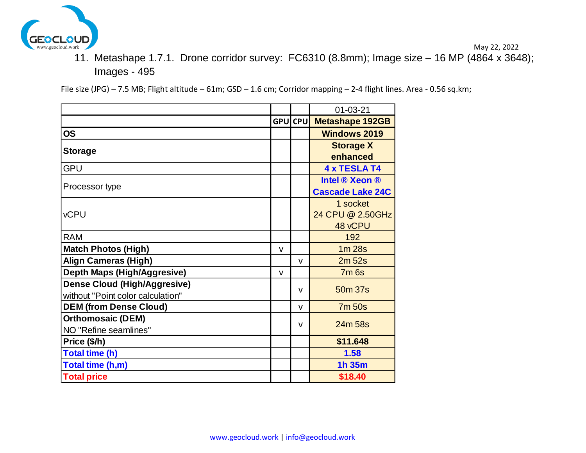<span id="page-14-0"></span>

 May 22, 2022 11. Metashape 1.7.1. Drone corridor survey: FC6310 (8.8mm); Image size – 16 MP (4864 x 3648); Images - 495

File size (JPG) – 7.5 MB; Flight altitude – 61m; GSD – 1.6 cm; Corridor mapping – 2-4 flight lines. Area - 0.56 sq.km;

|                                   |   |                | 01-03-21                |
|-----------------------------------|---|----------------|-------------------------|
|                                   |   | <b>GPU</b> CPU | <b>Metashape 192GB</b>  |
| OS                                |   |                | <b>Windows 2019</b>     |
| <b>Storage</b>                    |   |                | <b>Storage X</b>        |
|                                   |   |                | enhanced                |
| <b>GPU</b>                        |   |                | 4 x TESLA T4            |
|                                   |   |                | Intel ® Xeon ®          |
| Processor type                    |   |                | <b>Cascade Lake 24C</b> |
|                                   |   |                | 1 socket                |
| <b>vCPU</b>                       |   |                | 24 CPU @ 2.50GHz        |
|                                   |   |                | 48 vCPU                 |
| <b>RAM</b>                        |   |                | 192                     |
| <b>Match Photos (High)</b>        | v |                | 1m <sub>28s</sub>       |
| Align Cameras (High)              |   | $\mathsf{V}$   | 2m 52s                  |
| Depth Maps (High/Aggresive)       | v |                | $7m$ 6s                 |
| Dense Cloud (High/Aggresive)      |   | v              | 50m 37s                 |
| without "Point color calculation" |   |                |                         |
| <b>DEM (from Dense Cloud)</b>     |   | v              | <b>7m 50s</b>           |
| <b>Orthomosaic (DEM)</b>          |   |                |                         |
| NO "Refine seamlines"             |   | v              | 24m 58s                 |
| Price (\$/h)                      |   |                | \$11.648                |
| Total time (h)                    |   |                | 1.58                    |
| Total time (h,m)                  |   |                | 1h 35m                  |
| <b>Total price</b>                |   |                | \$18.40                 |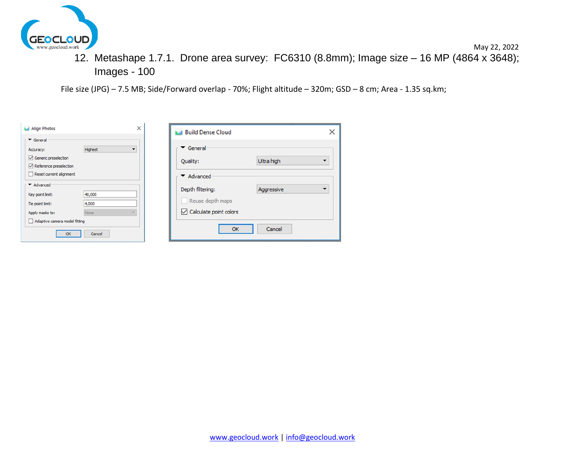<span id="page-15-0"></span>

12. Metashape 1.7.1. Drone area survey: FC6310 (8.8mm); Image size – 16 MP (4864 x 3648); Images - 100

File size (JPG) – 7.5 MB; Side/Forward overlap - 70%; Flight altitude – 320m; GSD – 8 cm; Area - 1.35 sq.km;

| $\blacktriangledown$ General<br>Accuracy:                      | Highest<br>$\overline{\phantom{a}}$ | $\blacktriangledown$ General         |                 |
|----------------------------------------------------------------|-------------------------------------|--------------------------------------|-----------------|
| Generic preselection<br>$\triangledown$ Reference preselection |                                     | Quality:                             | Ultra high      |
| Reset current alignment                                        |                                     | ▼ Advanced                           |                 |
| Advanced<br>Key point limit:                                   | 40,000                              | Depth filtering:<br>Reuse depth maps | Aggressive<br>▼ |
| Tie point limit:<br>Apply masks to:                            | 4,000<br>None                       | Calculate point colors               |                 |
| Adaptive camera model fitting<br><b>OK</b>                     | Cancel                              |                                      | Cancel<br>OK    |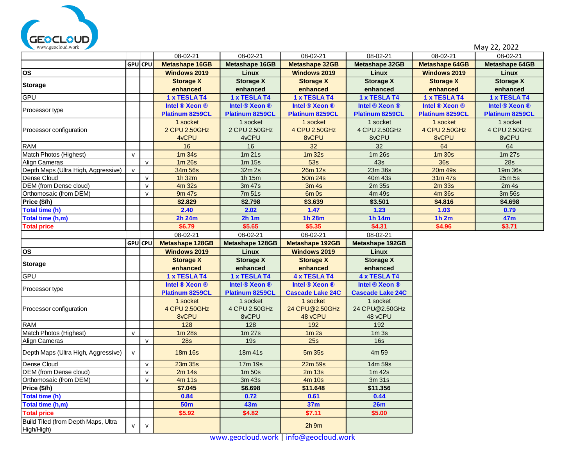

|                                                   |              |                | 08-02-21               | 08-02-21                      | 08-02-21                | 08-02-21                | 08-02-21               | 08-02-21               |
|---------------------------------------------------|--------------|----------------|------------------------|-------------------------------|-------------------------|-------------------------|------------------------|------------------------|
|                                                   |              | <b>GPU</b> CPU | <b>Metashape 16GB</b>  | <b>Metashape 16GB</b>         | <b>Metashape 32GB</b>   | <b>Metashape 32GB</b>   | <b>Metashape 64GB</b>  | Metashape 64GB         |
| <b>OS</b>                                         |              |                | <b>Windows 2019</b>    | Linux                         | <b>Windows 2019</b>     | <b>Linux</b>            | <b>Windows 2019</b>    | <b>Linux</b>           |
| <b>Storage</b>                                    |              |                | <b>Storage X</b>       | <b>Storage X</b>              | <b>Storage X</b>        | <b>Storage X</b>        | <b>Storage X</b>       | <b>Storage X</b>       |
|                                                   |              |                | enhanced               | enhanced                      | enhanced                | enhanced                | enhanced               | enhanced               |
| GPU                                               |              |                | 1 x TESLA T4           | 1 x TESLA T4                  | 1 x TESLA T4            | 1 x TESLA T4            | 1 x TESLA T4           | 1 x TESLA T4           |
| Processor type                                    |              |                | Intel ® Xeon ®         | Intel ® Xeon ®                | Intel ® Xeon ®          | Intel ® Xeon ®          | Intel ® Xeon ®         | Intel ® Xeon ®         |
|                                                   |              |                | <b>Platinum 8259CL</b> | <b>Platinum 8259CL</b>        | Platinum 8259CL         | <b>Platinum 8259CL</b>  | <b>Platinum 8259CL</b> | <b>Platinum 8259CL</b> |
|                                                   |              |                | 1 socket               | 1 socket                      | 1 socket                | 1 socket                | 1 socket               | 1 socket               |
| Processor configuration                           |              |                | 2 CPU 2.50GHz          | 2 CPU 2.50GHz                 | 4 CPU 2.50GHz           | 4 CPU 2.50GHz           | 4 CPU 2.50GHz          | 4 CPU 2.50GHz          |
|                                                   |              |                | 4vCPU                  | 4vCPU                         | 8vCPU                   | 8vCPU                   | 8vCPU                  | 8vCPU                  |
| <b>RAM</b>                                        |              |                | 16                     | 16                            | 32                      | 32                      | 64                     | 64                     |
| Match Photos (Highest)                            | $\mathsf{v}$ |                | 1m 34s                 | 1m21s                         | 1m <sub>32s</sub>       | 1m 26s                  | 1m 30s                 | 1m 27s                 |
| Align Cameras                                     |              | $\mathsf{v}$   | 1m26s                  | 1m 15s                        | 53s                     | 43s                     | <b>36s</b>             | <b>28s</b>             |
| Depth Maps (Ultra High, Aggressive)               | $\mathsf{v}$ |                | 34m 56s                | 32m 2s                        | 26m 12s                 | 23m 36s                 | 20m 49s                | 19m 36s                |
| Dense Cloud                                       |              | $\mathsf{V}$   | 1h32m                  | 1h 15m                        | 50m 24s                 | 40m 43s                 | 31m 47s                | 25m 5s                 |
| DEM (from Dense cloud)                            |              | $\mathsf{v}$   | 4m 32s                 | 3m 47s                        | 3m 4s                   | 2m 35s                  | 2m33s                  | 2m 4s                  |
| Orthomosaic (from DEM)                            |              | $\mathsf{v}$   | 9m 47s                 | 7m 51s                        | $6m$ Os                 | 4m 49s                  | 4m 36s                 | 3m 56s                 |
| Price (\$/h)                                      |              |                | \$2.829                | \$2.798                       | \$3.639                 | \$3.501                 | \$4.816                | \$4.698                |
| <b>Total time (h)</b>                             |              |                | 2.40                   | 2.02                          | $1.47$                  | 1.23                    | 1.03                   | 0.79                   |
| Total time (h,m)                                  |              |                | 2h 24m                 | 2h1m                          | <b>1h 28m</b>           | 1h 14m                  | 1h2m                   | 47m                    |
| <b>Total price</b>                                |              |                | \$6.79                 | \$5.65                        | \$5.35                  | \$4.31                  | \$4.96                 | \$3.71                 |
|                                                   |              |                | 08-02-21               | 08-02-21                      | 08-02-21                | 08-02-21                |                        |                        |
|                                                   |              | GPU CPU        | <b>Metashape 128GB</b> | Metashape 128GB               | <b>Metashape 192GB</b>  | Metashape 192GB         |                        |                        |
| <b>OS</b>                                         |              |                | <b>Windows 2019</b>    | <b>Linux</b>                  | <b>Windows 2019</b>     | Linux                   |                        |                        |
| <b>Storage</b>                                    |              |                | <b>Storage X</b>       | <b>Storage X</b>              | <b>Storage X</b>        | <b>Storage X</b>        |                        |                        |
|                                                   |              |                | enhanced               | enhanced                      | enhanced                | enhanced                |                        |                        |
| GPU                                               |              |                | 1 x TESLA T4           | 1 x TESLA T4                  | 4 x TESLA T4            | 4 x TESLA T4            |                        |                        |
| Processor type                                    |              |                | Intel ® Xeon ®         | Intel ® Xeon ®                | Intel ® Xeon ®          | Intel ® Xeon ®          |                        |                        |
|                                                   |              |                | <b>Platinum 8259CL</b> | <b>Platinum 8259CL</b>        | <b>Cascade Lake 24C</b> | <b>Cascade Lake 24C</b> |                        |                        |
|                                                   |              |                | 1 socket               | 1 socket                      | 1 socket                | 1 socket                |                        |                        |
| Processor configuration                           |              |                | 4 CPU 2.50GHz          | 4 CPU 2.50GHz                 | 24 CPU@2.50GHz          | 24 CPU@2.50GHz          |                        |                        |
|                                                   |              |                | 8vCPU                  | 8vCPU                         | 48 vCPU                 | 48 vCPU                 |                        |                        |
| <b>RAM</b>                                        |              |                | 128                    | 128                           | 192                     | 192                     |                        |                        |
| Match Photos (Highest)                            | $\mathsf{V}$ |                | 1m28s                  | 1m 27s                        | 1m <sub>2s</sub>        | 1m3s                    |                        |                        |
| Align Cameras                                     |              | $\mathsf{v}$   | <b>28s</b>             | 19s                           | 25s                     | 16s                     |                        |                        |
| Depth Maps (Ultra High, Aggressive)               | $\mathsf{v}$ |                | 18m 16s                | 18m 41s                       | 5m 35s                  | 4m 59                   |                        |                        |
| Dense Cloud                                       |              | $\mathsf{v}$   | 23m 35s                | 17m 19s                       | 22m 59s                 | 14m 59s                 |                        |                        |
| DEM (from Dense cloud)                            |              | $\mathsf{v}$   | 2m 14s                 | 1m 50s                        | 2m 13s                  | $1m$ 42s                |                        |                        |
| Orthomosaic (from DEM)                            |              | $\mathsf{v}$   | 4m 11s                 | 3m 43s                        | 4m 10s                  | 3m 31s                  |                        |                        |
| Price (\$/h)                                      |              |                | \$7,045                | \$6.698                       | \$11.648                | \$11.356                |                        |                        |
| Total time (h)                                    |              |                | 0.84                   | 0.72                          | 0.61                    | 0.44                    |                        |                        |
| Total time (h,m)                                  |              |                | <b>50m</b>             | 43m                           | 37 <sub>m</sub>         | 26m                     |                        |                        |
| <b>Total price</b>                                |              |                | \$5.92                 | \$4.82                        | \$7.11                  | \$5.00                  |                        |                        |
| Build Tiled (from Depth Maps, Ultra<br>High/High) | $\mathsf{v}$ | $\mathsf{v}$   |                        |                               | $2h$ 9m                 |                         |                        |                        |
|                                                   |              |                |                        | المكمئ الرامسيين المرزم المسم | واستمروه المرويم الم    |                         |                        |                        |

[www.geocloud.work](http://www.geocloud.work/) | [info@geocloud.work](mailto:info@geocloud.work)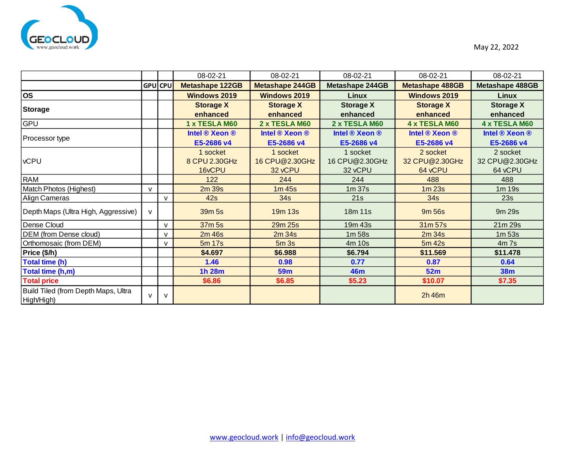

|                                                   |              |              | 08-02-21               | 08-02-21               | 08-02-21          | 08-02-21               | 08-02-21          |
|---------------------------------------------------|--------------|--------------|------------------------|------------------------|-------------------|------------------------|-------------------|
|                                                   |              | GPU CPU      | <b>Metashape 122GB</b> | <b>Metashape 244GB</b> | Metashape 244GB   | <b>Metashape 488GB</b> | Metashape 488GB   |
| <b>OS</b>                                         |              |              | <b>Windows 2019</b>    | <b>Windows 2019</b>    | Linux             | <b>Windows 2019</b>    | Linux             |
| <b>Storage</b>                                    |              |              | <b>Storage X</b>       | <b>Storage X</b>       | <b>Storage X</b>  | <b>Storage X</b>       | <b>Storage X</b>  |
|                                                   |              |              | enhanced               | enhanced               | enhanced          | enhanced               | enhanced          |
| <b>GPU</b>                                        |              |              | 1 x TESLA M60          | 2 x TESLA M60          | 2 x TESLA M60     | 4 x TESLA M60          | 4 x TESLA M60     |
|                                                   |              |              | Intel ® Xeon ®         | Intel ® Xeon ®         | Intel ® Xeon ®    | Intel ® Xeon ®         | Intel ® Xeon ®    |
| Processor type                                    |              |              | E5-2686 v4             | E5-2686 v4             | E5-2686 v4        | E5-2686 v4             | E5-2686 v4        |
|                                                   |              |              | 1 socket               | 1 socket               | 1 socket          | 2 socket               | 2 socket          |
| <b>VCPU</b>                                       |              |              | 8 CPU 2.30GHz          | 16 CPU@2.30GHz         | 16 CPU@2.30GHz    | 32 CPU@2.30GHz         | 32 CPU@2.30GHz    |
|                                                   |              |              | 16vCPU                 | 32 vCPU                | 32 vCPU           | 64 vCPU                | 64 vCPU           |
| <b>RAM</b>                                        |              |              | 122                    | 244                    | 244               | 488                    | 488               |
| Match Photos (Highest)                            | $\mathsf{V}$ |              | 2m 39s                 | 1m <sub>45s</sub>      | 1m <sub>37s</sub> | 1m23s                  | 1m 19s            |
| Align Cameras                                     |              | $\mathsf{v}$ | 42s                    | 34 <sub>s</sub>        | 21s               | 34 <sub>s</sub>        | 23s               |
| Depth Maps (Ultra High, Aggressive)               | $\mathsf{V}$ |              | 39m 5s                 | 19m 13s                | 18m 11s           | 9m 56s                 | 9m 29s            |
| Dense Cloud                                       |              | $\mathsf{v}$ | 37m 5s                 | 29m 25s                | 19m 43s           | 31m 57s                | 21m 29s           |
| DEM (from Dense cloud)                            |              | $\vee$       | 2m 46s                 | 2m34s                  | 1m 58s            | 2m34s                  | 1m <sub>53s</sub> |
| Orthomosaic (from DEM)                            |              | v            | 5m 17s                 | 5m3s                   | 4m 10s            | 5m <sub>42s</sub>      | $4m$ 7s           |
| Price (\$/h)                                      |              |              | \$4.697                | \$6.988                | \$6.794           | \$11.569               | \$11.478          |
| Total time (h)                                    |              |              | 1.46                   | 0.98                   | 0.77              | 0.87                   | 0.64              |
| Total time (h,m)                                  |              |              | <b>1h 28m</b>          | 59 <sub>m</sub>        | 46m               | 52m                    | <b>38m</b>        |
| <b>Total price</b>                                |              |              | \$6.86                 | \$6.85                 | \$5.23            | \$10.07                | \$7.35            |
| Build Tiled (from Depth Maps, Ultra<br>High/High) | $\mathsf{v}$ | $\mathsf{v}$ |                        |                        |                   | 2h46m                  |                   |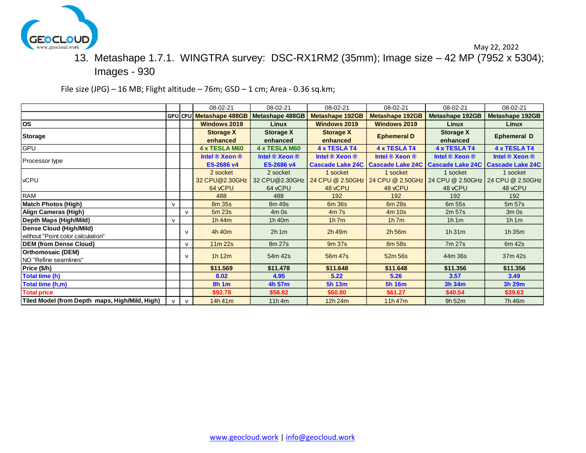<span id="page-18-0"></span>

May 22, 2022

# 13. Metashape 1.7.1. WINGTRA survey: DSC-RX1RM2 (35mm); Image size – 42 MP (7952 x 5304); Images - 930

File size (JPG) – 16 MB; Flight altitude – 76m; GSD – 1 cm; Area - 0.36 sq.km;

|                                                              |              |              | 08-02-21                                | 08-02-21                              | 08-02-21                                                                  | 08-02-21               | 08-02-21                                                                 | 08-02-21                                  |
|--------------------------------------------------------------|--------------|--------------|-----------------------------------------|---------------------------------------|---------------------------------------------------------------------------|------------------------|--------------------------------------------------------------------------|-------------------------------------------|
|                                                              |              |              | GPU CPU Metashape 488GB Metashape 488GB |                                       | <b>Metashape 192GB</b>                                                    | <b>Metashape 192GB</b> | Metashape 192GB                                                          | Metashape 192GB                           |
| <b>OS</b>                                                    |              |              | <b>Windows 2019</b>                     | Linux                                 | <b>Windows 2019</b>                                                       | <b>Windows 2019</b>    | Linux                                                                    | Linux                                     |
| <b>Storage</b>                                               |              |              | <b>Storage X</b><br>enhanced            | <b>Storage X</b><br>enhanced          | <b>Storage X</b><br>enhanced                                              | <b>Ephemeral D</b>     | <b>Storage X</b><br>enhanced                                             | <b>Ephemeral D</b>                        |
| GPU                                                          |              |              | 4 x TESLA M60                           | <b>4 x TESLA M60</b>                  | 4 x TESLA T4                                                              | 4 x TESLA T4           | 4 x TESLA T4                                                             | 4 x TESLA T4                              |
| Processor type                                               |              |              | Intel ® Xeon ®<br>E5-2686 v4            | Intel ® Xeon ®<br>E5-2686 v4          | Intel ® Xeon ®                                                            | Intel ® Xeon ®         | Intel ® Xeon ®<br>Cascade Lake 24C   Cascade Lake 24C   Cascade Lake 24C | Intel ® Xeon ®<br><b>Cascade Lake 24C</b> |
| <b>vCPU</b>                                                  |              |              | 2 socket<br>32 CPU@2.30GHz<br>64 vCPU   | 2 socket<br>32 CPU@2.30GHz<br>64 vCPU | 1 socket<br>24 CPU @ 2.50GHz 24 CPU @ 2.50GHz 24 CPU @ 2.50GHz<br>48 vCPU | 1 socket<br>48 vCPU    | 1 socket<br>48 vCPU                                                      | 1 socket<br>24 CPU @ 2.50GHz<br>48 vCPU   |
| <b>RAM</b>                                                   |              |              | 488                                     | 488                                   | 192                                                                       | 192                    | 192                                                                      | 192                                       |
| <b>Match Photos (High)</b>                                   | $\mathsf{v}$ |              | 8m 35s                                  | 8m 49s                                | 6m 36s                                                                    | 6m 28s                 | 6m 55s                                                                   | 5m 57s                                    |
| Align Cameras (High)                                         |              | ν            | 5m 23s                                  | $4m$ Os                               | $4m$ 7s                                                                   | 4m 10s                 | 2m 57s                                                                   | $3m$ Os                                   |
| Depth Maps (High/Mild)                                       | $\mathsf{V}$ |              | 1h44m                                   | 1h40m                                 | $1h$ 7 $m$                                                                | $1h$ 7m                | 1h1m                                                                     | 1h1m                                      |
| Dense Cloud (High/Mild)<br>without "Point color calculation" |              | $\mathsf{v}$ | 4h 40m                                  | 2h1m                                  | 2h49m                                                                     | $2h$ 56 $m$            | 1h31m                                                                    | 1h35m                                     |
| <b>DEM (from Dense Cloud)</b>                                |              | $\vee$       | 11m 22s                                 | 8m 27s                                | 9m 37s                                                                    | 8m 58s                 | 7m 27s                                                                   | 6m 42s                                    |
| <b>Orthomosaic (DEM)</b><br>NO "Refine seamlines"            |              | $\mathsf{v}$ | 1h12m                                   | 54m 42s                               | 56m 47s                                                                   | 52m 56s                | 44m 36s                                                                  | 37m 42s                                   |
| Price (\$/h)                                                 |              |              | \$11.569                                | \$11.478                              | \$11.648                                                                  | \$11.648               | \$11.356                                                                 | \$11.356                                  |
| Total time (h)                                               |              |              | 8.02                                    | 4.95                                  | 5.22                                                                      | 5.26                   | 3.57                                                                     | 3.49                                      |
| Total time (h,m)                                             |              |              | <b>8h 1m</b>                            | 4h 57m                                | 5h 13m                                                                    | 5h 16m                 | 3h 34m                                                                   | 3h 29m                                    |
| <b>Total price</b>                                           |              |              | \$92.78                                 | \$56.82                               | \$60.80                                                                   | \$61.27                | \$40.54                                                                  | \$39.63                                   |
| Tiled Model (from Depth maps, High/Mild, High)               | $\mathsf{v}$ | $\mathsf{v}$ | 14h 41m                                 | $11h$ 4m                              | 12h 24m                                                                   | 11h47m                 | 9h 52m                                                                   | 7h 46m                                    |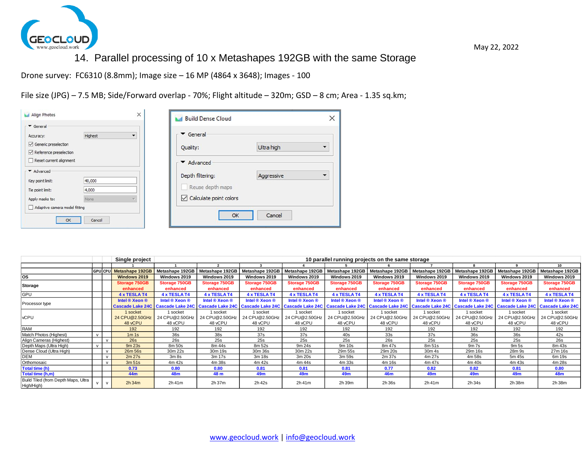

## 14. Parallel processing of 10 x Metashapes 192GB with the same Storage

<span id="page-19-0"></span>Drone survey: FC6310 (8.8mm); Image size – 16 MP (4864 x 3648); Images - 100

File size (JPG) – 7.5 MB; Side/Forward overlap - 70%; Flight altitude – 320m; GSD – 8 cm; Area - 1.35 sq.km;

| $\blacktriangledown$ General                                          |                                     | <b>Build Dense Cloud</b>     |                 |
|-----------------------------------------------------------------------|-------------------------------------|------------------------------|-----------------|
| Accuracy:                                                             | Highest<br>$\overline{\phantom{a}}$ | $\blacktriangledown$ General |                 |
| $\vee$ Generic preselection<br>$\triangledown$ Reference preselection |                                     | Quality:                     | Ultra high      |
| Reset current alignment                                               |                                     | ▼ Advanced                   |                 |
| Advanced                                                              |                                     | Depth filtering:             | Aggressive<br>▼ |
| Key point limit:                                                      | 40,000                              |                              |                 |
| Tie point limit:                                                      | 4,000                               | Reuse depth maps             |                 |
| Apply masks to:                                                       | None<br>$\overline{\phantom{a}}$    | Calculate point colors       |                 |
| Adaptive camera model fitting                                         |                                     |                              |                 |
| OK                                                                    | Cancel                              |                              | Cancel<br>OK    |

|                                                   |              |              | Single project          |                                     | 10 parallel running projects on the same storage |                      |                                                        |                    |                      |                 |                                                                                              |                 |                 |
|---------------------------------------------------|--------------|--------------|-------------------------|-------------------------------------|--------------------------------------------------|----------------------|--------------------------------------------------------|--------------------|----------------------|-----------------|----------------------------------------------------------------------------------------------|-----------------|-----------------|
|                                                   |              |              |                         |                                     |                                                  |                      |                                                        |                    |                      |                 |                                                                                              |                 | 10 <sup>1</sup> |
|                                                   |              |              | GPU CPU Metashape 192GB | Metashape 192GB                     | Metashape 192GB                                  | Metashape 192GB      | Metashape 192GB                                        | Metashape 192GB    | Metashape 192GB      | Metashape 192GB | Metashape 192GB                                                                              | Metashape 192GB | Metashape 192GB |
| <b>OS</b>                                         |              |              | Windows 2019            | Windows 2019                        | Windows 2019                                     | Windows 2019         | Windows 2019                                           | Windows 2019       | Windows 2019         | Windows 2019    | Windows 2019                                                                                 | Windows 2019    | Windows 2019    |
| Storage                                           |              |              | Storage 750GB           | Storage 750GB                       | Storage 750GB                                    | <b>Storage 750GB</b> | Storage 750GB                                          | Storage 750GB      | <b>Storage 750GB</b> | Storage 750GB   | Storage 750GB                                                                                | Storage 750GB   | Storage 750GB   |
|                                                   |              |              | enhanced                | enhanced                            | enhanced                                         | enhanced             | enhanced                                               | enhanced           | enhanced             | enhanced        | enhanced                                                                                     | enhanced        | enhanced        |
| GPU                                               |              |              | 4 x TESLA T4            | 4 x TESLA T4                        | 4 x TESLA T4                                     | 4 x TESLA T4         | 4 x TESLA T4                                           | 4 x TESLA T4       | 4 x TESLA T4         | 4 x TESLA T4    | 4 x TESLA T4                                                                                 | 4 x TESLA T4    | 4 x TESLA T4    |
|                                                   |              |              | Intel ® Xeon ®          | Intel ® Xeon ®                      | Intel ® Xeon ®                                   | Intel ® Xeon ®       | Intel ® Xeon ®                                         | Intel $@$ Xeon $@$ | Intel ® Xeon ®       | Intel ® Xeon ®  | Intel ® Xeon ®                                                                               | Intel ® Xeon ®  | Intel ® Xeon ®  |
| Processor type                                    |              |              |                         | Cascade Lake 24C   Cascade Lake 24C | <b>Cascade Lake 24C</b>                          |                      | Cascade Lake 24C   Cascade Lake 24C   Cascade Lake 24C |                    |                      |                 | Cascade Lake 24C   Cascade Lake 24C   Cascade Lake 24C   Cascade Lake 24C   Cascade Lake 24C |                 |                 |
|                                                   |              |              | 1 socket                | 1 socket                            | 1 socket                                         | 1 socket             | 1 socket                                               | 1 socket           | 1 socket             | 1 socket        | 1 socket                                                                                     | 1 socket        | 1 socket        |
| <b>VCPU</b>                                       |              |              | 24 CPU@2.50GHz          | 24 CPU@2.50GHz                      | 24 CPU@2.50GHz                                   | 24 CPU@2.50GHz       | 24 CPU@2.50GHz                                         | 24 CPU@2.50GHz     | 24 CPU@2.50GHz       | 24 CPU@2.50GHz  | 24 CPU@2.50GHz                                                                               | 24 CPU@2.50GHz  | 24 CPU@2.50GHz  |
|                                                   |              |              | 48 vCPU                 | 48 vCPU                             | 48 vCPU                                          | 48 vCPU              | 48 vCPU                                                | 48 vCPU            | 48 vCPU              | 48 vCPU         | 48 vCPU                                                                                      | 48 vCPU         | 48 vCPU         |
| RAM                                               |              |              | 192                     | 192                                 | 192                                              | 192                  | 192                                                    | 192                | 192                  | 192             | 192                                                                                          | 192             | 192             |
| Match Photos (Highest)                            |              |              | 1m1s                    | 36s                                 | 38s                                              | 37 <sub>s</sub>      | 37s                                                    | 40s                | 33s                  | 37 <sub>s</sub> | 36s                                                                                          | 36s             | 42s             |
| Align Cameras (Highest)                           |              | $\mathbf{v}$ | <b>26s</b>              | 26s                                 | 25s                                              | 25s                  | 25s                                                    | 25s                | <b>26s</b>           | 25s             | 25s                                                                                          | 25s             | 26s             |
| Depth Maps (Ultra High)                           | $\mathsf{v}$ |              | 9m 23s                  | 8m 50s                              | 8m 44s                                           | 8m 52s               | 9m 24s                                                 | 9m 10s             | 8m 47s               | 8m 51s          | 9m 7s                                                                                        | 9m 5s           | 8m 43s          |
| Dense Cloud (Ultra High)                          |              | $\mathsf{v}$ | 26m 56s                 | 30m 22s                             | 30m 19s                                          | 30m 36s              | 30m 22s                                                | 29m 55s            | 29m 20s              | 30m 4s          | 29m 16s                                                                                      | 28m 9s          | 27m 16s         |
| DEM                                               |              | $\mathsf{v}$ | 2m 27s                  | 3m 8s                               | 3m 17s                                           | 3m 18s               | 3m 20s                                                 | 3m 59s             | 2m 37s               | 4m 27s          | 4m 58s                                                                                       | 5m 45s          | 6m 19s          |
| Orthomosaic                                       |              | $\mathbf v$  | 3m <sub>51s</sub>       | 4m 42s                              | 4m 38s                                           | 4m 42s               | 4m 44s                                                 | 4m 33s             | 4m 16s               | 4m 47s          | 4m 40s                                                                                       | 4m 43s          | 4m 28s          |
| Total time (h)                                    |              |              | 0.73                    | 0.80                                | 0.80                                             | 0.81                 | 0.81                                                   | 0.81               | 0.77                 | 0.82            | 0.82                                                                                         | 0.81            | 0.80            |
| Total time (h,m)                                  |              |              | 44m                     | 48m                                 | 48 m                                             | 49 <sub>m</sub>      | 49m                                                    | 49 <sub>m</sub>    | <b>46m</b>           | 49m             | 49m                                                                                          | 49 <sub>m</sub> | 48m             |
| Build Tiled (from Depth Maps, Ultra<br>High/High) |              |              | 2h34m                   | 2h41m                               | 2h37m                                            | 2h 42s               | 2h41m                                                  | 2h 39m             | 2h 36s               | 2h41m           | 2h 34s                                                                                       | 2h 38m          | 2h 38m          |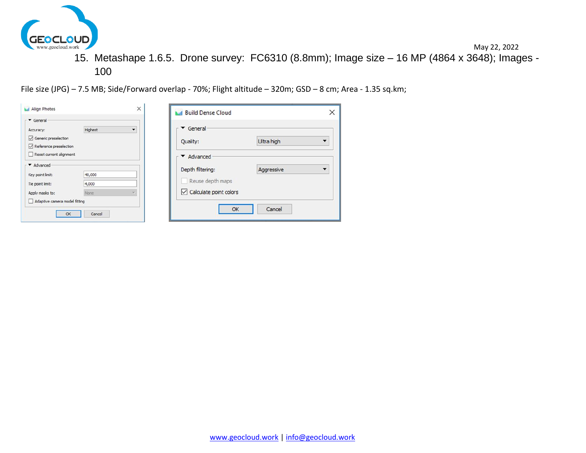

15. Metashape 1.6.5. Drone survey: FC6310 (8.8mm); Image size – 16 MP (4864 x 3648); Images - 100

<span id="page-20-0"></span>File size (JPG) – 7.5 MB; Side/Forward overlap - 70%; Flight altitude – 320m; GSD – 8 cm; Area - 1.35 sq.km;

| Align Photos                                                                                                                                           | X | Build Dense Cloud                                                    | ×                                  |
|--------------------------------------------------------------------------------------------------------------------------------------------------------|---|----------------------------------------------------------------------|------------------------------------|
| $\blacktriangledown$ General<br>Highest<br>Accuracy:<br>Generic preselection<br>Reference preselection<br>Reset current alignment                      | ۰ | $\blacktriangledown$ General<br>Quality:<br>Advanced                 | Ultra high<br>▼                    |
| Advanced<br>Key point limit:<br>40,000<br>4,000<br>Tie point limit:<br>Apply masks to:<br>None<br>Adaptive camera model fitting<br>Cancel<br><b>OK</b> |   | Depth filtering:<br>Reuse depth maps<br>Calculate point colors<br>OK | Aggressive<br>$\check{}$<br>Cancel |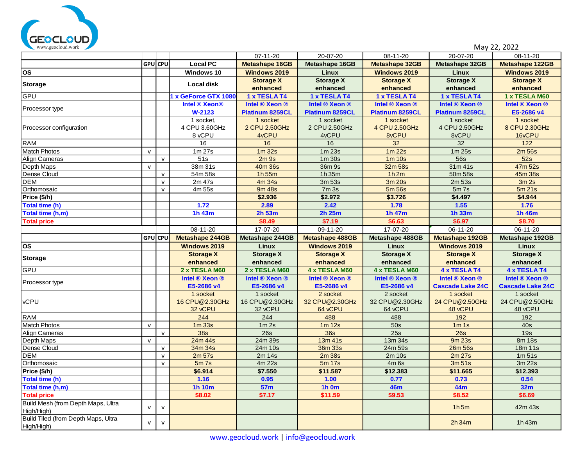

|                                                   |              |                |                        | 07-11-20               | 20-07-20               | 08-11-20              | 20-07-20                | 08-11-20                |
|---------------------------------------------------|--------------|----------------|------------------------|------------------------|------------------------|-----------------------|-------------------------|-------------------------|
|                                                   |              | GPUICPUI       | <b>Local PC</b>        | <b>Metashape 16GB</b>  | <b>Metashape 16GB</b>  | <b>Metashape 32GB</b> | <b>Metashape 32GB</b>   | <b>Metashape 122GB</b>  |
| $\overline{\text{os}}$                            |              |                | Windows 10             | <b>Windows 2019</b>    | Linux                  | <b>Windows 2019</b>   | Linux                   | <b>Windows 2019</b>     |
|                                                   |              |                |                        | <b>Storage X</b>       | <b>Storage X</b>       | <b>Storage X</b>      | <b>Storage X</b>        | <b>Storage X</b>        |
| <b>Storage</b>                                    |              |                | <b>Local disk</b>      | enhanced               | enhanced               | enhanced              | enhanced                | enhanced                |
| GPU                                               |              |                | 1 x GeForce GTX 1080   | 1 x TESLA T4           | 1 x TESLA T4           | 1 x TESLA T4          | 1 x TESLA T4            | 1 x TESLA M60           |
|                                                   |              |                | Intel ® Xeon®          | Intel ® Xeon ®         | Intel ® Xeon ®         | Intel ® Xeon ®        | Intel ® Xeon ®          | Intel ® Xeon ®          |
| Processor type                                    |              |                | $W-2123$               | Platinum 8259CL        | Platinum 8259CL        | Platinum 8259CL       | Platinum 8259CL         | E5-2686 v4              |
|                                                   |              |                | 1 socket.              | 1 socket               | 1 socket               | 1 socket              | 1 socket                | 1 socket                |
| Processor configuration                           |              |                | 4 CPU 3.60GHz          | 2 CPU 2.50GHz          | 2 CPU 2.50GHz          | 4 CPU 2.50GHz         | 4 CPU 2.50GHz           | 8 CPU 2.30GHz           |
|                                                   |              |                | 8 vCPU                 | 4vCPU                  | 4vCPU                  | 8vCPU                 | 8vCPU                   | 16vCPU                  |
| RAM                                               |              |                | 16                     | 16                     | 16                     | 32                    | 32                      | 122                     |
| <b>Match Photos</b>                               | $\mathsf{v}$ |                | $1m$ 27s               | 1m 32s                 | $1m$ 23s               | $1m$ 22s              | 1m 25s                  | 2m 56s                  |
| Align Cameras                                     |              | $\mathsf{v}$   | 51s                    | 2m9s                   | 1m 30s                 | 1 <sub>m</sub> 10s    | 56s                     | 52s                     |
| Depth Maps                                        | $\mathsf{v}$ |                | 38m 31s                | 40m 36s                | 36m 9s                 | 32m 58s               | 31m 41s                 | 47m 52s                 |
| Dense Cloud                                       |              | $\mathsf{v}$   | 54m 58s                | 1h 55m                 | 1h 35m                 | 1h2m                  | 50m 58s                 | 45m 38s                 |
| <b>DEM</b>                                        |              | $\mathsf{v}$   | 2m 47s                 | 4m 34s                 | 3m 53s                 | 3m 20s                | 2m 53s                  | 3m <sub>2s</sub>        |
| Orthomosaic                                       |              | $\mathsf{v}$   | 4m 55s                 | <b>9m 48s</b>          | 7m 3s                  | 5m 56s                | 5m 7s                   | 5m 21s                  |
| Price (\$/h)                                      |              |                |                        | \$2.936                | \$2.972                | \$3.726               | \$4.497                 | \$4.944                 |
| Total time (h)                                    |              |                | 1.72                   | 2.89                   | 2.42                   | 1.78                  | 1.55                    | 1.76                    |
| Total time (h,m)                                  |              |                | 1h 43m                 | 2h 53m                 | 2h 25m                 | 1h 47m                | 1h 33m                  | 1h 46m                  |
| <b>Total price</b>                                |              |                |                        | \$8.49                 | \$7.19                 | \$6.63                | \$6.97                  | \$8.70                  |
|                                                   |              |                | 08-11-20               | 17-07-20               | 09-11-20               | 17-07-20              | 06-11-20                | 06-11-20                |
|                                                   |              | <b>GPU</b> CPU | <b>Metashape 244GB</b> | <b>Metashape 244GB</b> | <b>Metashape 488GB</b> | Metashape 488GB       | <b>Metashape 192GB</b>  | Metashape 192GB         |
| $\overline{\text{os}}$                            |              |                | <b>Windows 2019</b>    | Linux                  | <b>Windows 2019</b>    | Linux                 | <b>Windows 2019</b>     | Linux                   |
| Storage                                           |              |                | <b>Storage X</b>       | <b>Storage X</b>       | <b>Storage X</b>       | <b>Storage X</b>      | <b>Storage X</b>        | <b>Storage X</b>        |
|                                                   |              |                | enhanced               | enhanced               | enhanced               | enhanced              | enhanced                | enhanced                |
| GPU                                               |              |                | 2 x TESLA M60          | 2 x TESLA M60          | <b>4 x TESLA M60</b>   | 4 x TESLA M60         | 4 x TESLA T4            | 4 x TESLA T4            |
|                                                   |              |                | Intel ® Xeon ®         | Intel® Xeon®           | Intel ® Xeon ®         | Intel ® Xeon ®        | Intel ® Xeon ®          | Intel ® Xeon ®          |
| Processor type                                    |              |                | E5-2686 v4             | E5-2686 v4             | E5-2686 v4             | E5-2686 v4            | <b>Cascade Lake 24C</b> | <b>Cascade Lake 24C</b> |
|                                                   |              |                | 1 socket               | 1 socket               | 2 socket               | 2 socket              | 1 socket                | 1 socket                |
| <b>vCPU</b>                                       |              |                | 16 CPU@2.30GHz         | 16 CPU@2.30GHz         | 32 CPU@2.30GHz         | 32 CPU@2.30GHz        | 24 CPU@2.50GHz          | 24 CPU@2.50GHz          |
|                                                   |              |                | 32 vCPU                | 32 vCPU                | 64 vCPU                | 64 vCPU               | 48 vCPU                 | 48 vCPU                 |
| RAM                                               |              |                | 244                    | 244                    | 488                    | 488                   | 192                     | 192                     |
| <b>Match Photos</b>                               | $\mathsf{v}$ |                | 1m33s                  | 1m <sub>2s</sub>       | 1m <sub>12s</sub>      | $\overline{50s}$      | 1m1s                    | 40s                     |
| Align Cameras                                     |              | $\mathsf{v}$   | <b>38s</b>             | 26s                    | <b>36s</b>             | 25s                   | 26s                     | 19s                     |
| Depth Maps                                        | $\mathsf{v}$ |                | 24m 44s                | 24m 39s                | 13m 41s                | 13m 34s               | 9m 23s                  | 8m 18s                  |
| Dense Cloud                                       |              | $\mathsf{v}$   | 34m 34s                | 24m 10s                | 36m 33s                | 24m 59s               | 26m 56s                 | 18m 11s                 |
| <b>DEM</b>                                        |              | $\mathsf{v}$   | 2m 57s                 | 2m 14s                 | 2m 38s                 | 2m 10s                | 2m 27s                  | 1m <sub>51s</sub>       |
| Orthomosaic                                       |              | $\mathsf{v}$   | $5m$ $7s$              | 4m 22s                 | 5m 17s                 | 4m <sub>6s</sub>      | 3m <sub>51s</sub>       | 3m 22s                  |
| Price (\$/h)                                      |              |                | \$6.914                | \$7.550                | \$11.587               | \$12.383              | \$11.665                | \$12.393                |
| <b>Total time (h)</b>                             |              |                | 1.16                   | 0.95                   | 1.00                   | 0.77                  | 0.73                    | 0.54                    |
| Total time (h,m)                                  |              |                | <b>1h 10m</b>          | 57 <sub>m</sub>        | <b>1h 0m</b>           | <b>46m</b>            | 44m                     | 32m                     |
| <b>Total price</b>                                |              |                | \$8.02                 | \$7.17                 | \$11.59                | \$9.53                | \$8.52                  | \$6.69                  |
| Build Mesh (from Depth Maps, Ultra<br>High/High)  | $\mathsf{v}$ | $\mathsf{v}$   |                        |                        |                        |                       | $1h$ 5m                 | 42m 43s                 |
| Build Tiled (from Depth Maps, Ultra<br>High/High) | $\mathsf{v}$ | $\mathsf{v}$   |                        |                        |                        |                       | 2h 34m                  | $1h$ 43 $m$             |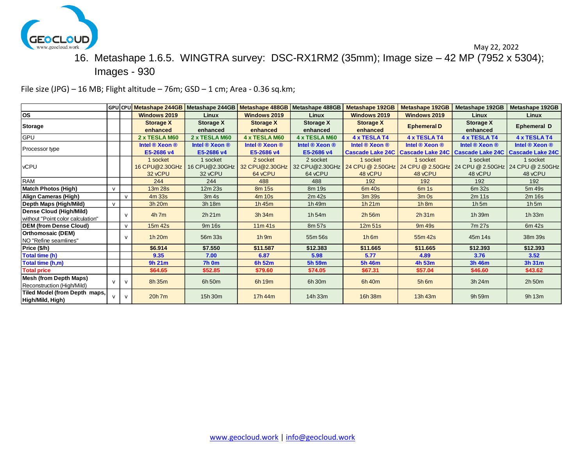

### May 22, 2022 16. Metashape 1.6.5. WINGTRA survey: DSC-RX1RM2 (35mm); Image size – 42 MP (7952 x 5304); Images - 930

<span id="page-22-0"></span>File size (JPG) – 16 MB; Flight altitude – 76m; GSD – 1 cm; Area - 0.36 sq.km;

|                                                              |              |              | GPU CPU Metashape 244GB   Metashape 244GB   Metashape 488GB   Metashape 488GB |                                       |                                       |                                       | <b>Metashape 192GB</b>                  | <b>Metashape 192GB</b> | Metashape 192GB                                                                             | Metashape 192GB     |
|--------------------------------------------------------------|--------------|--------------|-------------------------------------------------------------------------------|---------------------------------------|---------------------------------------|---------------------------------------|-----------------------------------------|------------------------|---------------------------------------------------------------------------------------------|---------------------|
| los                                                          |              |              | Windows 2019                                                                  | Linux                                 | Windows 2019                          | Linux                                 | <b>Windows 2019</b>                     | <b>Windows 2019</b>    | Linux                                                                                       | Linux               |
| Storage                                                      |              |              | <b>Storage X</b><br>enhanced                                                  | <b>Storage X</b><br>enhanced          | <b>Storage X</b><br>enhanced          | <b>Storage X</b><br>enhanced          | <b>Storage X</b><br>enhanced            | <b>Ephemeral D</b>     | <b>Storage X</b><br>enhanced                                                                | <b>Ephemeral D</b>  |
| <b>GPU</b>                                                   |              |              | 2 x TESLA M60                                                                 | 2 x TESLA M60                         | 4 x TESLA M60                         | <b>4 x TESLA M60</b>                  | 4 x TESLA T4                            | 4 x TESLA T4           | 4 x TESLA T4                                                                                | 4 x TESLA T4        |
| Processor type                                               |              |              | Intel ® Xeon ®<br>E5-2686 v4                                                  | Intel ® Xeon ®<br>E5-2686 v4          | Intel ® Xeon ®<br>E5-2686 v4          | Intel ® Xeon ®<br>E5-2686 v4          | Intel ® Xeon ®                          | Intel ® Xeon ®         | Intel ® Xeon ®<br>Cascade Lake 24C   Cascade Lake 24C   Cascade Lake 24C   Cascade Lake 24C | Intel ® Xeon ®      |
| <b>VCPU</b>                                                  |              |              | 1 socket<br>16 CPU@2.30GHz<br>32 vCPU                                         | 1 socket<br>16 CPU@2.30GHz<br>32 vCPU | 2 socket<br>32 CPU@2.30GHz<br>64 vCPU | 2 socket<br>32 CPU@2.30GHz<br>64 vCPU | 1 socket<br>24 CPU @ 2.50GHz<br>48 vCPU | 1 socket<br>48 vCPU    | 1 socket<br>24 CPU @ 2.50GHz 24 CPU @ 2.50GHz 24 CPU @ 2.50GHz<br>48 vCPU                   | 1 socket<br>48 vCPU |
| RAM                                                          |              |              | 244                                                                           | 244                                   | 488                                   | 488                                   | 192                                     | 192                    | 192                                                                                         | 192                 |
| <b>Match Photos (High)</b>                                   | $\mathsf{v}$ |              | 13m 28s                                                                       | 12m 23s                               | 8m 15s                                | 8m 19s                                | 6m 40s                                  | 6m1s                   | 6m 32s                                                                                      | 5m 49s              |
| Align Cameras (High)                                         |              | $\mathsf{v}$ | 4m 33s                                                                        | 3m <sub>4s</sub>                      | 4m 10s                                | 2m 42s                                | 3m 39s                                  | $3m$ Os                | 2m 11s                                                                                      | 2m 16s              |
| Depth Maps (High/Mild)                                       | $\mathsf{V}$ |              | 3h 20m                                                                        | 3h 18m                                | 1h45m                                 | 1h 49m                                | 1h21m                                   | 1h8m                   | $1h$ 5m                                                                                     | $1h$ 5m             |
| Dense Cloud (High/Mild)<br>without "Point color calculation" |              | $\mathsf{v}$ | $4h$ 7m                                                                       | 2h21m                                 | 3h 34m                                | 1h54m                                 | $2h$ 56 $m$                             | 2h31m                  | 1h 39m                                                                                      | 1h 33m              |
| <b>DEM (from Dense Cloud)</b>                                |              | $\mathsf{v}$ | 15m 42s                                                                       | 9m 16s                                | 11m 41s                               | 8m 57s                                | 12m <sub>51s</sub>                      | 9m 49s                 | 7m 27s                                                                                      | 6m 42s              |
| <b>Orthomosaic (DEM)</b><br>NO "Refine seamlines"            |              | $\mathsf{v}$ | 1h20m                                                                         | 56m 33s                               | $1h$ 9m                               | 55m 56s                               | $1h$ 6m                                 | 55m 42s                | 45m 14s                                                                                     | 38m 39s             |
| Price (\$/h)                                                 |              |              | \$6.914                                                                       | \$7.550                               | \$11.587                              | \$12.383                              | \$11.665                                | \$11.665               | \$12.393                                                                                    | \$12.393            |
| Total time (h)                                               |              |              | 9.35                                                                          | 7.00                                  | 6.87                                  | 5.98                                  | 5.77                                    | 4.89                   | 3.76                                                                                        | 3.52                |
| Total time (h,m)                                             |              |              | 9h 21m                                                                        | <b>7h 0m</b>                          | 6h 52m                                | 5h 59m                                | 5h 46m                                  | 4h 53m                 | 3h 46m                                                                                      | 3h 31m              |
| <b>Total price</b>                                           |              |              | \$64.65                                                                       | \$52.85                               | \$79.60                               | \$74.05                               | \$67.31                                 | \$57.04                | \$46.60                                                                                     | \$43.62             |
| <b>Mesh (from Depth Maps)</b><br>Reconstruction (High/Mild)  | $\mathsf{v}$ |              | 8h 35m                                                                        | 6h 50m                                | 6h 19m                                | 6h 30m                                | 6h 40m                                  | $5h$ 6m                | 3h 24m                                                                                      | 2h 50m              |
| Tiled Model (from Depth maps,<br>High/Mild, High)            | v            |              | 20h 7m                                                                        | 15h 30m                               | 17h 44m                               | 14h 33m                               | 16h 38m                                 | 13h 43m                | 9h 59m                                                                                      | 9h 13m              |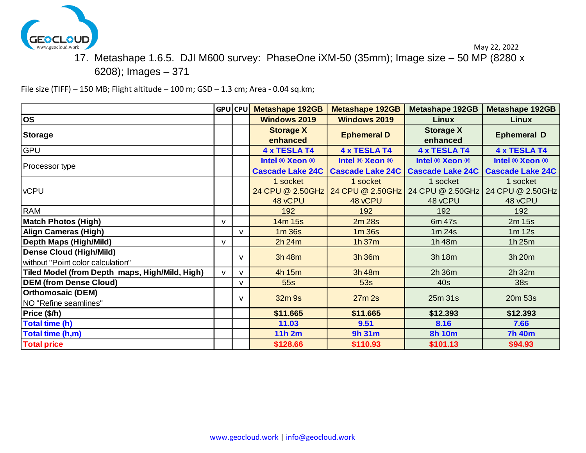

 May 22, 2022 17. Metashape 1.6.5. DJI M600 survey: PhaseOne iXM-50 (35mm); Image size – 50 MP (8280 x 6208); Images – 371

<span id="page-23-0"></span>File size (TIFF) – 150 MB; Flight altitude – 100 m; GSD – 1.3 cm; Area - 0.04 sq.km;

|                                                                     |              | GPU CPU      | <b>Metashape 192GB</b>                    | <b>Metashape 192GB</b>                    | <b>Metashape 192GB</b>                    | <b>Metashape 192GB</b>                    |
|---------------------------------------------------------------------|--------------|--------------|-------------------------------------------|-------------------------------------------|-------------------------------------------|-------------------------------------------|
| <b>OS</b>                                                           |              |              | <b>Windows 2019</b>                       | <b>Windows 2019</b>                       | Linux                                     | Linux                                     |
| Storage                                                             |              |              | <b>Storage X</b><br>enhanced              | <b>Ephemeral D</b>                        | <b>Storage X</b><br>enhanced              | <b>Ephemeral D</b>                        |
| <b>GPU</b>                                                          |              |              | 4 x TESLA T4                              | 4 x TESLA T4                              | 4 x TESLA T4                              | 4 x TESLA T4                              |
| Processor type                                                      |              |              | Intel ® Xeon ®<br><b>Cascade Lake 24C</b> | Intel ® Xeon ®<br><b>Cascade Lake 24C</b> | Intel ® Xeon ®<br><b>Cascade Lake 24C</b> | Intel ® Xeon ®<br><b>Cascade Lake 24C</b> |
| <b>vCPU</b>                                                         |              |              | 1 socket<br>24 CPU @ 2.50GHz<br>48 vCPU   | 1 socket<br>24 CPU @ 2.50GHz<br>48 vCPU   | 1 socket<br>24 CPU @ 2.50GHz<br>48 vCPU   | 1 socket<br>24 CPU @ 2.50GHz<br>48 vCPU   |
| <b>RAM</b>                                                          |              |              | 192                                       | 192                                       | 192                                       | 192                                       |
| <b>Match Photos (High)</b>                                          | v            |              | 14m 15s                                   | 2m 28s                                    | 6m 47s                                    | 2m 15s                                    |
| <b>Align Cameras (High)</b>                                         |              | $\mathsf{V}$ | 1m 36s                                    | 1m 36s                                    | 1m24s                                     | 1m <sub>12s</sub>                         |
| <b>Depth Maps (High/Mild)</b>                                       | V            |              | 2h24m                                     | 1h37m                                     | 1h 48m                                    | 1h25m                                     |
| <b>Dense Cloud (High/Mild)</b><br>without "Point color calculation" |              | $\mathsf{v}$ | 3h 48m                                    | 3h 36m                                    | 3h 18m                                    | 3h 20m                                    |
| Tiled Model (from Depth maps, High/Mild, High)                      | $\mathsf{v}$ | v            | 4h 15m                                    | 3h 48m                                    | 2h 36m                                    | 2h 32m                                    |
| <b>DEM (from Dense Cloud)</b>                                       |              | v            | 55s                                       | 53s                                       | 40s                                       | 38s                                       |
| <b>Orthomosaic (DEM)</b><br>NO "Refine seamlines"                   |              | v            | 32m 9s                                    | 27m 2s                                    | 25m 31s                                   | 20m 53s                                   |
| Price (\$/h)                                                        |              |              | \$11.665                                  | \$11.665                                  | \$12.393                                  | \$12.393                                  |
| Total time (h)                                                      |              |              | 11.03                                     | 9.51                                      | 8.16                                      | 7.66                                      |
| Total time (h,m)                                                    |              |              | <b>11h 2m</b>                             | 9h 31m                                    | <b>8h 10m</b>                             | <b>7h 40m</b>                             |
| <b>Total price</b>                                                  |              |              | \$128.66                                  | \$110.93                                  | \$101.13                                  | \$94.93                                   |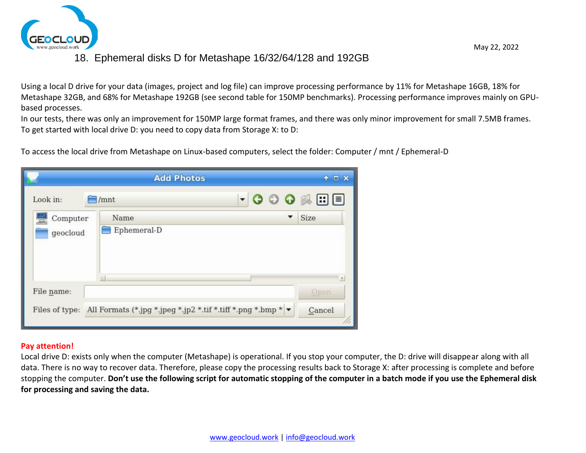

### 18. Ephemeral disks D for Metashape 16/32/64/128 and 192GB

<span id="page-24-0"></span>Using a local D drive for your data (images, project and log file) can improve processing performance by 11% for Metashape 16GB, 18% for Metashape 32GB, and 68% for Metashape 192GB (see second table for 150MP benchmarks). Processing performance improves mainly on GPUbased processes.

In our tests, there was only an improvement for 150MP large format frames, and there was only minor improvement for small 7.5MB frames. To get started with local drive D: you need to copy data from Storage X: to D:

|            |             | <b>Add Photos</b>                                                                              | $A \Box X$ |
|------------|-------------|------------------------------------------------------------------------------------------------|------------|
| Look in:   | $\Box$ /mnt | $\cdot$ 000 200                                                                                |            |
| Computer   | Name        |                                                                                                | Size       |
| geocloud   | Ephemeral-D |                                                                                                | 土          |
| File name: |             |                                                                                                | Open       |
|            |             | Files of type: All Formats (*.jpg *.jpg *.jp2 *.tif *.tiff *.png *.bmp * $\blacktriangleright$ | Cancel     |

To access the local drive from Metashape on Linux-based computers, select the folder: Computer / mnt / Ephemeral-D

### **Pay attention!**

Local drive D: exists only when the computer (Metashape) is operational. If you stop your computer, the D: drive will disappear along with all data. There is no way to recover data. Therefore, please copy the processing results back to Storage X: after processing is complete and before stopping the computer. **Don't use the following script for automatic stopping of the computer in a batch mode if you use the Ephemeral disk for processing and saving the data.**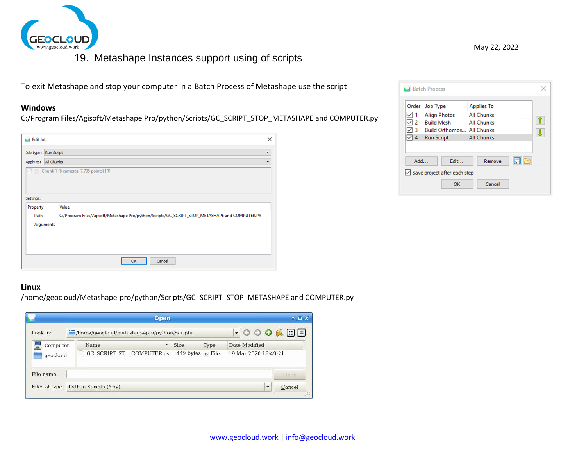

### 19. Metashape Instances support using of scripts

<span id="page-25-0"></span>To exit Metashape and stop your computer in a Batch Process of Metashape use the script

#### **Windows**

C:/Program Files/Agisoft/Metashape Pro/python/Scripts/GC\_SCRIPT\_STOP\_METASHAPE and COMPUTER.py

| <b>Lef</b> Edit Job | ×                                                                                              |
|---------------------|------------------------------------------------------------------------------------------------|
|                     | Job type: Run Script<br>▼                                                                      |
|                     | Apply to: All Chunks<br>▼                                                                      |
| $\vee$ 31           | Chunk 1 (6 cameras, 7,705 points) [R]                                                          |
| Settings:           |                                                                                                |
| Property            | Value                                                                                          |
| Path                | C:/Program Files/Agisoft/Metashape Pro/python/Scripts/GC_SCRIPT_STOP_METASHAPE and COMPUTER.PY |
|                     | Arguments                                                                                      |
|                     | Cancel<br>OK                                                                                   |

| Order      | Job Type            |                                          |                   | <b>Applies To</b> |    |  |
|------------|---------------------|------------------------------------------|-------------------|-------------------|----|--|
|            | <b>Align Photos</b> |                                          | <b>All Chunks</b> |                   |    |  |
| $\vee$ 2   | <b>Build Mesh</b>   |                                          |                   | <b>All Chunks</b> |    |  |
| 43         |                     | <b>Build Orthomos All Chunks</b>         |                   |                   |    |  |
| $\sqrt{2}$ | <b>Run Script</b>   |                                          | <b>All Chunks</b> |                   |    |  |
|            |                     |                                          |                   |                   |    |  |
| Add        |                     | Edit                                     |                   | Remove            | FE |  |
|            |                     | $\sqrt{\ }$ Save project after each step |                   |                   |    |  |

#### **Linux**

/home/geocloud/Metashape-pro/python/Scripts/GC\_SCRIPT\_STOP\_METASHAPE and COMPUTER.py

|            |                                            | Open                     |      |      |                | $+$ $ \times$ |
|------------|--------------------------------------------|--------------------------|------|------|----------------|---------------|
| Look in:   | home/geocloud/metashape-pro/python/Scripts |                          |      |      | $\cdot$ 000200 |               |
| Computer   | Name                                       | $\overline{\phantom{a}}$ | Size | Type | Date Modified  |               |
| qeocloud   | GC SCRIPT ST COMPUTER.py                   | 19 Mar 2020 18:49:21     |      |      |                |               |
| File name: |                                            |                          |      |      |                | Open          |
|            | Files of type: Python Scripts (*.py)       |                          |      |      |                | Cancel        |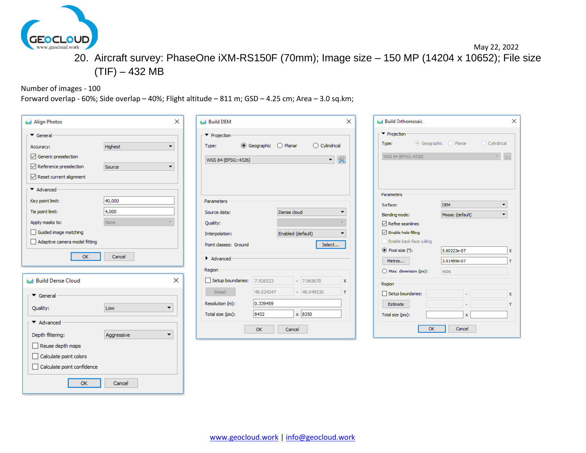

 May 22, 2022 20. Aircraft survey: PhaseOne iXM-RS150F (70mm); Image size – 150 MP (14204 x 10652); File size (TIF) – 432 MB

<span id="page-26-0"></span>Number of images - 100

Forward overlap - 60%; Side overlap – 40%; Flight altitude – 811 m; GSD – 4.25 cm; Area – 3.0 sq.km;

| Align Photos                                                                                                                                                                                                                 | $\times$                                                                                        | <b>M</b> Build DEM                                                                                          |                                                                                                    | ×                              | <b>M</b> Build Orthomosaic                                                                                                                                                                            | $\times$                                                                                                                         |
|------------------------------------------------------------------------------------------------------------------------------------------------------------------------------------------------------------------------------|-------------------------------------------------------------------------------------------------|-------------------------------------------------------------------------------------------------------------|----------------------------------------------------------------------------------------------------|--------------------------------|-------------------------------------------------------------------------------------------------------------------------------------------------------------------------------------------------------|----------------------------------------------------------------------------------------------------------------------------------|
| $\blacktriangledown$ General<br>Accuracy:<br>Generic preselection<br>$\triangledown$ Reference preselection<br>$\sqrt{\phantom{a}}$ Reset current alignment                                                                  | Highest<br>$\overline{\phantom{a}}$<br>Source<br>$\overline{\phantom{a}}$                       | ▼ Projection<br>Type:<br>WGS 84 (EPSG:: 4326)                                                               |                                                                                                    | $\bigcirc$ Cylindrical<br>一袋   | ▼ Projection<br>Type:<br>WGS 84 (EPSG:: 4326)                                                                                                                                                         | ◎ Geographic ◎ Planar<br>$\bigcirc$ Cylindrical<br>8<br>$\sim$                                                                   |
| $\blacktriangleright$ Advanced<br>Key point limit:<br>Tie point limit:<br>Apply masks to:<br>Guided image matching<br>Adaptive camera model fitting<br>OK                                                                    | 40,000<br>4,000<br>None<br>Cancel                                                               | <b>Parameters</b><br>Source data:<br><b>Quality:</b><br>Interpolation:<br>Point classes: Ground<br>Advanced | Dense cloud<br>Enabled (default)                                                                   | ▼<br>÷<br>▼<br>Select          | Parameters<br>Surface:<br>Blending mode:<br>$\sqrt{\phantom{a}}$ Refine seamlines<br>$\boxed{\smash{\bigtriangleup} }$ Enable hole filling<br>Enable back-face culling<br>◉ Pixel size (°):<br>Metres | <b>DEM</b><br>$\blacktriangledown$<br>Mosaic (default)<br>$\overline{\phantom{0}}$<br>5.80223e-07<br>$\mathbf{x}$<br>3.81489e-07 |
| <b>M</b> Build Dense Cloud<br>$\blacktriangledown$ General<br>Quality:<br>$\blacktriangleright$ Advanced<br>Depth filtering:<br>$\Box$ Reuse depth maps<br>Calculate point colors<br>Calculate point confidence<br><b>OK</b> | $\times$<br>Low<br>$\overline{\phantom{a}}$<br>Aggressive<br>$\overline{\phantom{a}}$<br>Cancel | Region<br>Setup boundaries:<br>Reset<br>Resolution (m):<br>Total size (pix):                                | 7.926523<br>$-7.965670$<br>49.024347<br>$-49.049530$<br>0.339459<br>x 8250<br>8432<br>OK<br>Cancel | $\boldsymbol{\mathsf{x}}$<br>Y | $\bigcirc$ Max. dimension (pix):<br>Region<br>Setup boundaries:<br>Estimate<br>Total size (pix):<br>OK                                                                                                | 4096<br>$\mathbf{x}$<br>$\omega$<br>Y<br>$\sim$<br>$\mathbf{x}$<br>Cancel                                                        |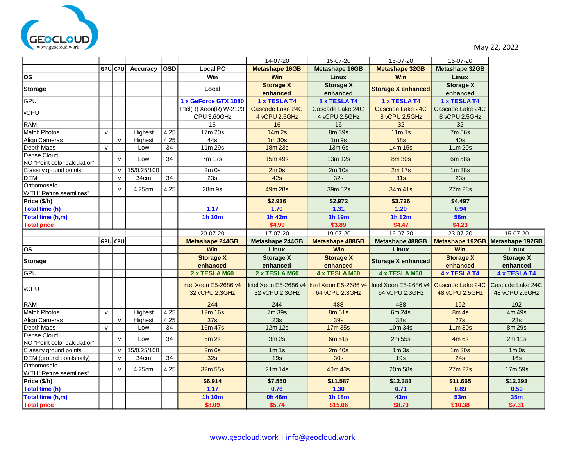

| <b>GSD</b><br><b>Local PC</b><br>GPU CPU Accuracy<br><b>Metashape 16GB</b><br>Metashape 16GB<br><b>Metashape 32GB</b><br><b>Metashape 32GB</b><br><b>OS</b><br>Win<br>Win<br><b>Linux</b><br>Win<br>Linux<br><b>Storage X</b><br><b>Storage X</b><br><b>Storage X</b><br><b>Storage X enhanced</b><br><b>Storage</b><br>Local<br>enhanced<br>enhanced<br>enhanced<br><b>GPU</b><br>1 x TESLA T4<br>1 x TESLA T4<br>1 x TESLA T4<br>1 x GeForce GTX 1080<br>1 x TESLA T4<br>Cascade Lake 24C<br>Cascade Lake 24C<br>Intel(R) $Xeon(R)$ W-2123<br>Cascade Lake 24C<br>Cascade Lake 24C<br><b>vCPU</b><br>CPU 3.60GHz<br>4 vCPU 2.5GHz<br>4 vCPU 2.5GHz<br>8 vCPU 2.5GHz<br>8 vCPU 2.5GHz<br><b>RAM</b><br>32<br>16<br>16<br>16<br>32<br>8m 39s<br><b>Match Photos</b><br>Highest<br>17m 20s<br>14m 2s<br>7m 56s<br>4.25<br>11m1s<br>$\mathsf{v}$<br>4.25<br>44s<br>1m30s<br>1m <sub>9s</sub><br><b>58s</b><br>Align Cameras<br>Highest<br>40s<br>$\mathsf{v}$<br>11m 29s<br>Depth Maps<br>34<br>11m 29s<br>18m 23s<br>13m 6s<br>14m 15s<br>$\mathsf{v}$<br>Low<br>Dense Cloud<br>34<br>7m 17s<br>15m 49s<br>13m 12s<br>8m 30s<br>6m 58s<br>Low<br>$\mathsf{v}$<br>NO "Point color calculation"<br>15/0.25/100<br>$2m$ 0s<br>2m 17s<br>Classify ground points<br>$2m$ Os<br>2m 10s<br>1m 38s<br>$\mathsf{v}$<br>$\overline{34}$<br>23s<br>$\overline{32s}$<br>42s<br>31s<br>23s<br>DEM<br>$\mathsf{v}$<br>34cm<br>Orthomosaic<br>4.25cm<br>4.25<br>28m 9s<br>39m 52s<br>49m 28s<br>34m 41s<br>27m 28s<br>$\mathsf{v}$<br>WITH "Refine seemlines"<br>Price (\$/h)<br>\$2.936<br>\$2.972<br>\$3.726<br>\$4.497<br><b>Total time (h)</b><br>1.17<br>1.70<br>1.31<br>1.20<br>0.94 |                                           |  |  |                       | 14-07-20              | 15-07-20                | 16-07-20           | 15-07-20   |                                    |
|----------------------------------------------------------------------------------------------------------------------------------------------------------------------------------------------------------------------------------------------------------------------------------------------------------------------------------------------------------------------------------------------------------------------------------------------------------------------------------------------------------------------------------------------------------------------------------------------------------------------------------------------------------------------------------------------------------------------------------------------------------------------------------------------------------------------------------------------------------------------------------------------------------------------------------------------------------------------------------------------------------------------------------------------------------------------------------------------------------------------------------------------------------------------------------------------------------------------------------------------------------------------------------------------------------------------------------------------------------------------------------------------------------------------------------------------------------------------------------------------------------------------------------------------------------------------------------------------------------------------------------------------------------------------------|-------------------------------------------|--|--|-----------------------|-----------------------|-------------------------|--------------------|------------|------------------------------------|
|                                                                                                                                                                                                                                                                                                                                                                                                                                                                                                                                                                                                                                                                                                                                                                                                                                                                                                                                                                                                                                                                                                                                                                                                                                                                                                                                                                                                                                                                                                                                                                                                                                                                            |                                           |  |  |                       |                       |                         |                    |            |                                    |
|                                                                                                                                                                                                                                                                                                                                                                                                                                                                                                                                                                                                                                                                                                                                                                                                                                                                                                                                                                                                                                                                                                                                                                                                                                                                                                                                                                                                                                                                                                                                                                                                                                                                            |                                           |  |  |                       |                       |                         |                    |            |                                    |
|                                                                                                                                                                                                                                                                                                                                                                                                                                                                                                                                                                                                                                                                                                                                                                                                                                                                                                                                                                                                                                                                                                                                                                                                                                                                                                                                                                                                                                                                                                                                                                                                                                                                            |                                           |  |  |                       |                       |                         |                    |            |                                    |
|                                                                                                                                                                                                                                                                                                                                                                                                                                                                                                                                                                                                                                                                                                                                                                                                                                                                                                                                                                                                                                                                                                                                                                                                                                                                                                                                                                                                                                                                                                                                                                                                                                                                            |                                           |  |  |                       |                       |                         |                    |            |                                    |
|                                                                                                                                                                                                                                                                                                                                                                                                                                                                                                                                                                                                                                                                                                                                                                                                                                                                                                                                                                                                                                                                                                                                                                                                                                                                                                                                                                                                                                                                                                                                                                                                                                                                            |                                           |  |  |                       |                       |                         |                    |            |                                    |
|                                                                                                                                                                                                                                                                                                                                                                                                                                                                                                                                                                                                                                                                                                                                                                                                                                                                                                                                                                                                                                                                                                                                                                                                                                                                                                                                                                                                                                                                                                                                                                                                                                                                            |                                           |  |  |                       |                       |                         |                    |            |                                    |
|                                                                                                                                                                                                                                                                                                                                                                                                                                                                                                                                                                                                                                                                                                                                                                                                                                                                                                                                                                                                                                                                                                                                                                                                                                                                                                                                                                                                                                                                                                                                                                                                                                                                            |                                           |  |  |                       |                       |                         |                    |            |                                    |
|                                                                                                                                                                                                                                                                                                                                                                                                                                                                                                                                                                                                                                                                                                                                                                                                                                                                                                                                                                                                                                                                                                                                                                                                                                                                                                                                                                                                                                                                                                                                                                                                                                                                            |                                           |  |  |                       |                       |                         |                    |            |                                    |
|                                                                                                                                                                                                                                                                                                                                                                                                                                                                                                                                                                                                                                                                                                                                                                                                                                                                                                                                                                                                                                                                                                                                                                                                                                                                                                                                                                                                                                                                                                                                                                                                                                                                            |                                           |  |  |                       |                       |                         |                    |            |                                    |
|                                                                                                                                                                                                                                                                                                                                                                                                                                                                                                                                                                                                                                                                                                                                                                                                                                                                                                                                                                                                                                                                                                                                                                                                                                                                                                                                                                                                                                                                                                                                                                                                                                                                            |                                           |  |  |                       |                       |                         |                    |            |                                    |
|                                                                                                                                                                                                                                                                                                                                                                                                                                                                                                                                                                                                                                                                                                                                                                                                                                                                                                                                                                                                                                                                                                                                                                                                                                                                                                                                                                                                                                                                                                                                                                                                                                                                            |                                           |  |  |                       |                       |                         |                    |            |                                    |
|                                                                                                                                                                                                                                                                                                                                                                                                                                                                                                                                                                                                                                                                                                                                                                                                                                                                                                                                                                                                                                                                                                                                                                                                                                                                                                                                                                                                                                                                                                                                                                                                                                                                            |                                           |  |  |                       |                       |                         |                    |            |                                    |
|                                                                                                                                                                                                                                                                                                                                                                                                                                                                                                                                                                                                                                                                                                                                                                                                                                                                                                                                                                                                                                                                                                                                                                                                                                                                                                                                                                                                                                                                                                                                                                                                                                                                            |                                           |  |  |                       |                       |                         |                    |            |                                    |
|                                                                                                                                                                                                                                                                                                                                                                                                                                                                                                                                                                                                                                                                                                                                                                                                                                                                                                                                                                                                                                                                                                                                                                                                                                                                                                                                                                                                                                                                                                                                                                                                                                                                            |                                           |  |  |                       |                       |                         |                    |            |                                    |
|                                                                                                                                                                                                                                                                                                                                                                                                                                                                                                                                                                                                                                                                                                                                                                                                                                                                                                                                                                                                                                                                                                                                                                                                                                                                                                                                                                                                                                                                                                                                                                                                                                                                            |                                           |  |  |                       |                       |                         |                    |            |                                    |
|                                                                                                                                                                                                                                                                                                                                                                                                                                                                                                                                                                                                                                                                                                                                                                                                                                                                                                                                                                                                                                                                                                                                                                                                                                                                                                                                                                                                                                                                                                                                                                                                                                                                            |                                           |  |  |                       |                       |                         |                    |            |                                    |
|                                                                                                                                                                                                                                                                                                                                                                                                                                                                                                                                                                                                                                                                                                                                                                                                                                                                                                                                                                                                                                                                                                                                                                                                                                                                                                                                                                                                                                                                                                                                                                                                                                                                            |                                           |  |  |                       |                       |                         |                    |            |                                    |
|                                                                                                                                                                                                                                                                                                                                                                                                                                                                                                                                                                                                                                                                                                                                                                                                                                                                                                                                                                                                                                                                                                                                                                                                                                                                                                                                                                                                                                                                                                                                                                                                                                                                            |                                           |  |  |                       |                       |                         |                    |            |                                    |
|                                                                                                                                                                                                                                                                                                                                                                                                                                                                                                                                                                                                                                                                                                                                                                                                                                                                                                                                                                                                                                                                                                                                                                                                                                                                                                                                                                                                                                                                                                                                                                                                                                                                            | Total time (h,m)                          |  |  | <b>1h 10m</b>         | 1h 42m                | 1h 19m                  | 1h 12m             | <b>56m</b> |                                    |
| \$3.89<br>\$4.99<br>\$4.47<br>\$4.23<br><b>Total price</b>                                                                                                                                                                                                                                                                                                                                                                                                                                                                                                                                                                                                                                                                                                                                                                                                                                                                                                                                                                                                                                                                                                                                                                                                                                                                                                                                                                                                                                                                                                                                                                                                                 |                                           |  |  |                       |                       |                         |                    |            |                                    |
| $19-07-20$<br>$16-07-20$<br>15-07-20<br>20-07-20<br>17-07-20<br>23-07-20                                                                                                                                                                                                                                                                                                                                                                                                                                                                                                                                                                                                                                                                                                                                                                                                                                                                                                                                                                                                                                                                                                                                                                                                                                                                                                                                                                                                                                                                                                                                                                                                   |                                           |  |  |                       |                       |                         |                    |            |                                    |
| GPUCPU<br><b>Metashape 244GB</b><br>Metashape 244GB<br><b>Metashape 488GB</b><br>Metashape 488GB<br>Metashape 192GB                                                                                                                                                                                                                                                                                                                                                                                                                                                                                                                                                                                                                                                                                                                                                                                                                                                                                                                                                                                                                                                                                                                                                                                                                                                                                                                                                                                                                                                                                                                                                        |                                           |  |  |                       |                       |                         |                    |            | Metashape 192GB                    |
| <b>OS</b><br>Win<br>Win<br>Win<br>Linux<br>Linux<br>Linux                                                                                                                                                                                                                                                                                                                                                                                                                                                                                                                                                                                                                                                                                                                                                                                                                                                                                                                                                                                                                                                                                                                                                                                                                                                                                                                                                                                                                                                                                                                                                                                                                  |                                           |  |  |                       |                       |                         |                    |            |                                    |
| <b>Storage X</b><br><b>Storage X</b><br><b>Storage X</b><br><b>Storage X</b><br><b>Storage X</b>                                                                                                                                                                                                                                                                                                                                                                                                                                                                                                                                                                                                                                                                                                                                                                                                                                                                                                                                                                                                                                                                                                                                                                                                                                                                                                                                                                                                                                                                                                                                                                           |                                           |  |  |                       |                       |                         |                    |            |                                    |
| <b>Storage</b><br><b>Storage X enhanced</b><br>enhanced<br>enhanced<br>enhanced<br>enhanced<br>enhanced                                                                                                                                                                                                                                                                                                                                                                                                                                                                                                                                                                                                                                                                                                                                                                                                                                                                                                                                                                                                                                                                                                                                                                                                                                                                                                                                                                                                                                                                                                                                                                    |                                           |  |  |                       |                       |                         |                    |            |                                    |
| <b>GPU</b><br>2 x TESLA M60<br>2 x TESLA M60<br>4 x TESLA M60<br>4 x TESLA M60<br>4 x TESLA T4<br>4 x TESLA T4                                                                                                                                                                                                                                                                                                                                                                                                                                                                                                                                                                                                                                                                                                                                                                                                                                                                                                                                                                                                                                                                                                                                                                                                                                                                                                                                                                                                                                                                                                                                                             |                                           |  |  |                       |                       |                         |                    |            |                                    |
| Intel Xeon E5-2686 v4<br>Intel Xeon E5-2686 v4<br>Intel Xeon E5-2686 v4 Intel Xeon E5-2686 v4<br>Cascade Lake 24C<br><b>vCPU</b><br>32 vCPU 2.3GHz<br>32 vCPU 2.3GHz<br>64 vCPU 2.3GHz<br>64 vCPU 2.3GHz<br>48 vCPU 2.5GHz                                                                                                                                                                                                                                                                                                                                                                                                                                                                                                                                                                                                                                                                                                                                                                                                                                                                                                                                                                                                                                                                                                                                                                                                                                                                                                                                                                                                                                                 |                                           |  |  |                       |                       |                         |                    |            | Cascade Lake 24C<br>48 vCPU 2.5GHz |
|                                                                                                                                                                                                                                                                                                                                                                                                                                                                                                                                                                                                                                                                                                                                                                                                                                                                                                                                                                                                                                                                                                                                                                                                                                                                                                                                                                                                                                                                                                                                                                                                                                                                            |                                           |  |  |                       |                       |                         |                    |            |                                    |
| <b>RAM</b><br>244<br>244<br>488<br>488<br>192<br>192<br>Match Photos                                                                                                                                                                                                                                                                                                                                                                                                                                                                                                                                                                                                                                                                                                                                                                                                                                                                                                                                                                                                                                                                                                                                                                                                                                                                                                                                                                                                                                                                                                                                                                                                       |                                           |  |  |                       |                       |                         |                    |            |                                    |
| Highest<br>4.25<br>12m 16s<br>8m 51s<br>6m 24s<br>4m 49s<br>$\mathsf{v}$<br>7m 39s<br><b>8m 4s</b><br>4.25<br>37s<br>23s<br><b>39s</b><br>33s<br>27s<br>23s<br>Align Cameras                                                                                                                                                                                                                                                                                                                                                                                                                                                                                                                                                                                                                                                                                                                                                                                                                                                                                                                                                                                                                                                                                                                                                                                                                                                                                                                                                                                                                                                                                               |                                           |  |  |                       |                       |                         |                    |            |                                    |
| Highest<br>v<br>Depth Maps<br>34<br>16m 47s<br>12m 12s<br>17m 35s<br>10m 34s<br>11m 30s<br>8m 29s<br>$\mathsf{v}$<br>Low                                                                                                                                                                                                                                                                                                                                                                                                                                                                                                                                                                                                                                                                                                                                                                                                                                                                                                                                                                                                                                                                                                                                                                                                                                                                                                                                                                                                                                                                                                                                                   |                                           |  |  |                       |                       |                         |                    |            |                                    |
| Dense Cloud                                                                                                                                                                                                                                                                                                                                                                                                                                                                                                                                                                                                                                                                                                                                                                                                                                                                                                                                                                                                                                                                                                                                                                                                                                                                                                                                                                                                                                                                                                                                                                                                                                                                |                                           |  |  |                       |                       |                         |                    |            |                                    |
| 34<br>5m 2s<br>3m <sub>2s</sub><br>6m 51s<br>2m 55s<br>$4m$ 6s<br>2m 11s<br>Low<br>$\mathsf{v}$<br>NO "Point color calculation"                                                                                                                                                                                                                                                                                                                                                                                                                                                                                                                                                                                                                                                                                                                                                                                                                                                                                                                                                                                                                                                                                                                                                                                                                                                                                                                                                                                                                                                                                                                                            |                                           |  |  |                       |                       |                         |                    |            |                                    |
| 15/0.25/100<br>Classify ground points<br>$2m$ 6s<br>2m 40s<br>1m3s<br>1m 30s<br>$1m$ Os<br>1m1s<br>$\mathsf{v}$                                                                                                                                                                                                                                                                                                                                                                                                                                                                                                                                                                                                                                                                                                                                                                                                                                                                                                                                                                                                                                                                                                                                                                                                                                                                                                                                                                                                                                                                                                                                                            |                                           |  |  |                       |                       |                         |                    |            |                                    |
| 34<br>32s<br>DEM (ground points only)<br>19s<br>30 <sub>s</sub><br>19s<br>16s<br>34cm<br>24s<br>$\mathsf{v}$                                                                                                                                                                                                                                                                                                                                                                                                                                                                                                                                                                                                                                                                                                                                                                                                                                                                                                                                                                                                                                                                                                                                                                                                                                                                                                                                                                                                                                                                                                                                                               |                                           |  |  |                       |                       |                         |                    |            |                                    |
| Orthomosaic                                                                                                                                                                                                                                                                                                                                                                                                                                                                                                                                                                                                                                                                                                                                                                                                                                                                                                                                                                                                                                                                                                                                                                                                                                                                                                                                                                                                                                                                                                                                                                                                                                                                |                                           |  |  |                       |                       |                         |                    |            |                                    |
| 4.25<br>4.25cm<br>32m 55s<br>21m 14s<br>40m 43s<br>20m 58s<br>17m 59s<br>27m 27s<br>$\mathsf{v}$<br>WITH "Refine seemlines"                                                                                                                                                                                                                                                                                                                                                                                                                                                                                                                                                                                                                                                                                                                                                                                                                                                                                                                                                                                                                                                                                                                                                                                                                                                                                                                                                                                                                                                                                                                                                |                                           |  |  |                       |                       |                         |                    |            |                                    |
| \$6.914<br>\$7.550<br>\$11.587<br>\$12.383<br>\$11.665<br>\$12.393<br>Price (\$/h)                                                                                                                                                                                                                                                                                                                                                                                                                                                                                                                                                                                                                                                                                                                                                                                                                                                                                                                                                                                                                                                                                                                                                                                                                                                                                                                                                                                                                                                                                                                                                                                         |                                           |  |  |                       |                       |                         |                    |            |                                    |
| 0.89                                                                                                                                                                                                                                                                                                                                                                                                                                                                                                                                                                                                                                                                                                                                                                                                                                                                                                                                                                                                                                                                                                                                                                                                                                                                                                                                                                                                                                                                                                                                                                                                                                                                       |                                           |  |  |                       |                       |                         |                    |            |                                    |
|                                                                                                                                                                                                                                                                                                                                                                                                                                                                                                                                                                                                                                                                                                                                                                                                                                                                                                                                                                                                                                                                                                                                                                                                                                                                                                                                                                                                                                                                                                                                                                                                                                                                            |                                           |  |  |                       |                       |                         |                    |            |                                    |
| \$5.74<br>\$15.06<br>\$8.79<br>\$10.38<br>\$7.31<br>\$8.09<br><b>Total price</b>                                                                                                                                                                                                                                                                                                                                                                                                                                                                                                                                                                                                                                                                                                                                                                                                                                                                                                                                                                                                                                                                                                                                                                                                                                                                                                                                                                                                                                                                                                                                                                                           | <b>Total time (h)</b><br>Total time (h,m) |  |  | 1.17<br><b>1h 10m</b> | 0.76<br><b>0h 46m</b> | $1.30$<br><b>1h 18m</b> | 0.71<br><b>43m</b> | <b>53m</b> | 0.59<br><b>35m</b>                 |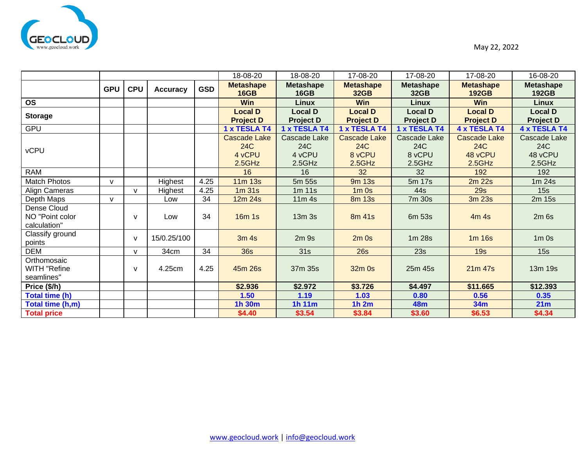

| May 22, 2022 |  |
|--------------|--|
|--------------|--|

|                                                |              |              |                 |            | 18-08-20                                                 | 18-08-20                                | 17-08-20                                              | 17-08-20                                       | 17-08-20                                                  | 16-08-20                                 |
|------------------------------------------------|--------------|--------------|-----------------|------------|----------------------------------------------------------|-----------------------------------------|-------------------------------------------------------|------------------------------------------------|-----------------------------------------------------------|------------------------------------------|
|                                                | <b>GPU</b>   | <b>CPU</b>   | <b>Accuracy</b> | <b>GSD</b> | <b>Metashape</b><br><b>16GB</b>                          | <b>Metashape</b><br><b>16GB</b>         | <b>Metashape</b><br><b>32GB</b>                       | <b>Metashape</b><br><b>32GB</b>                | <b>Metashape</b><br><b>192GB</b>                          | <b>Metashape</b><br><b>192GB</b>         |
| <b>OS</b>                                      |              |              |                 |            | <b>Win</b>                                               | <b>Linux</b>                            | <b>Win</b>                                            | <b>Linux</b>                                   | <b>Win</b>                                                | Linux                                    |
| <b>Storage</b>                                 |              |              |                 |            | <b>Local D</b><br><b>Project D</b>                       | <b>Local D</b><br><b>Project D</b>      | <b>Local D</b><br><b>Project D</b>                    | <b>Local D</b><br><b>Project D</b>             | <b>Local D</b><br><b>Project D</b>                        | <b>Local D</b><br><b>Project D</b>       |
| <b>GPU</b>                                     |              |              |                 |            | 1 x TESLA T4                                             | 1 x TESLA T4                            | 1 x TESLA T4                                          | 1 x TESLA T4                                   | 4 x TESLA T4                                              | 4 x TESLA T4                             |
| <b>vCPU</b>                                    |              |              |                 |            | <b>Cascade Lake</b><br><b>24C</b><br>4 vCPU<br>$2.5$ GHz | Cascade Lake<br>24C<br>4 vCPU<br>2.5GHz | <b>Cascade Lake</b><br><b>24C</b><br>8 vCPU<br>2.5GHz | <b>Cascade Lake</b><br>24C<br>8 vCPU<br>2.5GHz | <b>Cascade Lake</b><br><b>24C</b><br>48 vCPU<br>$2.5$ GHz | Cascade Lake<br>24C<br>48 vCPU<br>2.5GHz |
| <b>RAM</b>                                     |              |              |                 |            | 16                                                       | 16                                      | 32                                                    | 32                                             | 192                                                       | 192                                      |
| <b>Match Photos</b>                            | $\mathsf{v}$ |              | Highest         | 4.25       | $11m$ 13s                                                | 5m 55s                                  | 9m 13s                                                | 5m 17s                                         | 2m 22s                                                    | 1m24s                                    |
| Align Cameras                                  |              | $\mathsf{V}$ | Highest         | 4.25       | 1m <sub>31s</sub>                                        | $1m$ 11s                                | $1m$ Os                                               | 44 <sub>S</sub>                                | <b>29s</b>                                                | 15s                                      |
| Depth Maps                                     | $\mathsf{V}$ |              | Low             | 34         | 12m 24s                                                  | 11m 4s                                  | 8m 13s                                                | 7m 30s                                         | 3m 23s                                                    | 2m 15s                                   |
| Dense Cloud<br>NO "Point color<br>calculation" |              | $\mathsf{V}$ | Low             | 34         | $16m$ 1s                                                 | 13m <sub>3s</sub>                       | 8m 41s                                                | 6m 53s                                         | 4m <sub>4s</sub>                                          | $2m$ 6s                                  |
| Classify ground<br>points                      |              | $\mathsf{V}$ | 15/0.25/100     |            | 3m <sub>4s</sub>                                         | 2m <sub>9s</sub>                        | $2m$ Os                                               | 1 <sub>m</sub> 28s                             | 1m 16s                                                    | $1m$ Os                                  |
| <b>DEM</b>                                     |              | $\mathsf{v}$ | 34cm            | 34         | <b>36s</b>                                               | 31s                                     | 26s                                                   | 23s                                            | 19 <sub>s</sub>                                           | 15s                                      |
| Orthomosaic<br>WITH "Refine<br>seamlines"      |              | $\mathsf{V}$ | 4.25cm          | 4.25       | 45m 26s                                                  | 37m 35s                                 | 32m 0s                                                | 25m 45s                                        | 21m 47s                                                   | 13m 19s                                  |
| Price (\$/h)                                   |              |              |                 |            | \$2.936                                                  | \$2.972                                 | \$3.726                                               | \$4.497                                        | \$11.665                                                  | \$12.393                                 |
| Total time (h)                                 |              |              |                 |            | 1.50                                                     | 1.19                                    | 1.03                                                  | 0.80                                           | 0.56                                                      | 0.35                                     |
| Total time (h,m)                               |              |              |                 |            | <b>1h 30m</b>                                            | 1h 11m                                  | 1h2m                                                  | <b>48m</b>                                     | 34m                                                       | 21m                                      |
| <b>Total price</b>                             |              |              |                 |            | \$4.40                                                   | \$3.54                                  | \$3.84                                                | \$3.60                                         | \$6.53                                                    | \$4.34                                   |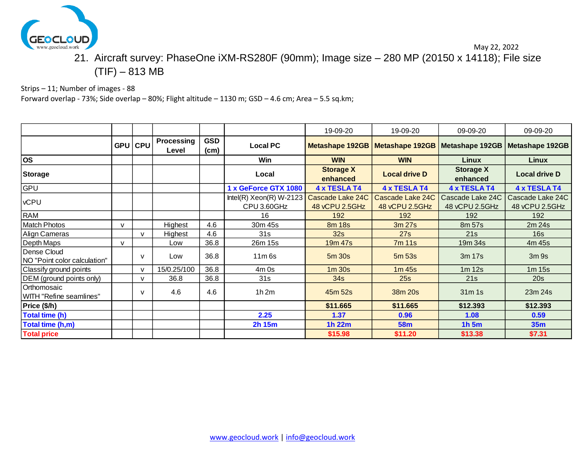

### May 22, 2022 21. Aircraft survey: PhaseOne iXM-RS280F (90mm); Image size – 280 MP (20150 x 14118); File size (TIF) – 813 MB

<span id="page-29-0"></span>Strips – 11; Number of images - 88

Forward overlap - 73%; Side overlap – 80%; Flight altitude – 1130 m; GSD – 4.6 cm; Area – 5.5 sq.km;

|                                             |              |              |                     |                    |                                                             | 19-09-20                     | 19-09-20                           | 09-09-20                                        | 09-09-20                           |
|---------------------------------------------|--------------|--------------|---------------------|--------------------|-------------------------------------------------------------|------------------------------|------------------------------------|-------------------------------------------------|------------------------------------|
|                                             |              | GPU CPU      | Processing<br>Level | <b>GSD</b><br>(cm) | <b>Local PC</b>                                             |                              |                                    | Metashape 192GB Metashape 192GB Metashape 192GB | <b>Metashape 192GB</b>             |
| <b>OS</b>                                   |              |              |                     |                    | Win                                                         | <b>WIN</b>                   | <b>WIN</b>                         | <b>Linux</b>                                    | Linux                              |
| <b>Storage</b>                              |              |              |                     |                    | Local                                                       | <b>Storage X</b><br>enhanced | <b>Local drive D</b>               | <b>Storage X</b><br>enhanced                    | <b>Local drive D</b>               |
| <b>GPU</b>                                  |              |              |                     |                    | 1 x GeForce GTX 1080                                        | 4 x TESLA T4                 | 4 x TESLA T4                       | 4 x TESLA T4                                    | 4 x TESLA T4                       |
| <b>vCPU</b>                                 |              |              |                     |                    | Intel(R) $Xeon(R)$ W-2123 $Cascade Lake 24C$<br>CPU 3.60GHz | 48 vCPU 2.5GHz               | Cascade Lake 24C<br>48 vCPU 2.5GHz | Cascade Lake 24C<br>48 vCPU 2.5GHz              | Cascade Lake 24C<br>48 vCPU 2.5GHz |
| <b>RAM</b>                                  |              |              |                     |                    | 16                                                          | 192                          | 192                                | 192                                             | 192                                |
| <b>Match Photos</b>                         | $\mathsf{v}$ |              | Highest             | 4.6                | 30m 45s                                                     | 8m 18s                       | 3m 27s                             | 8m 57s                                          | 2m 24s                             |
| Align Cameras                               |              | $\vee$       | Highest             | 4.6                | 31 <sub>s</sub>                                             | 32s                          | 27s                                | 21s                                             | 16s                                |
| Depth Maps                                  | v            |              | Low                 | 36.8               | 26m 15s                                                     | 19m 47s                      | 7m 11s                             | 19m 34s                                         | 4m 45s                             |
| Dense Cloud<br>NO "Point color calculation" |              | $\mathsf{v}$ | Low                 | 36.8               | $11m$ 6s                                                    | 5m 30s                       | 5m 53s                             | 3m 17s                                          | 3m <sub>9s</sub>                   |
| Classify ground points                      |              | $\mathsf{v}$ | 15/0.25/100         | 36.8               | $4m$ Os                                                     | $1m$ 30s                     | 1m <sub>45s</sub>                  | $1m$ 12s                                        | $1m$ 15s                           |
| DEM (ground points only)                    |              | $\mathsf{V}$ | 36.8                | 36.8               | 31 <sub>s</sub>                                             | 34 <sub>s</sub>              | 25s                                | 21s                                             | 20s                                |
| Orthomosaic<br>WITH "Refine seamlines"      |              | $\mathsf{v}$ | 4.6                 | 4.6                | 1h2m                                                        | 45m 52s                      | 38m 20s                            | 31m1s                                           | 23m 24s                            |
| Price (\$/h)                                |              |              |                     |                    |                                                             | \$11.665                     | \$11.665                           | \$12.393                                        | \$12.393                           |
| Total time (h)                              |              |              |                     |                    | 2.25                                                        | 1.37                         | 0.96                               | 1.08                                            | 0.59                               |
| Total time (h,m)                            |              |              |                     |                    | 2h 15m                                                      | 1h 22m                       | <b>58m</b>                         | $1h$ 5m                                         | 35 <sub>m</sub>                    |
| <b>Total price</b>                          |              |              |                     |                    |                                                             | \$15.98                      | \$11.20                            | \$13.38                                         | \$7.31                             |